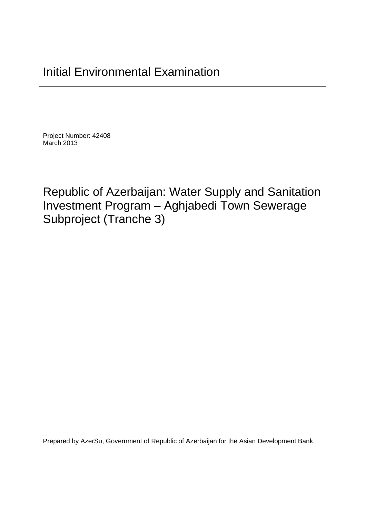Project Number: 42408 March 2013

Republic of Azerbaijan: Water Supply and Sanitation Investment Program – Aghjabedi Town Sewerage Subproject (Tranche 3)

Prepared by AzerSu, Government of Republic of Azerbaijan for the Asian Development Bank.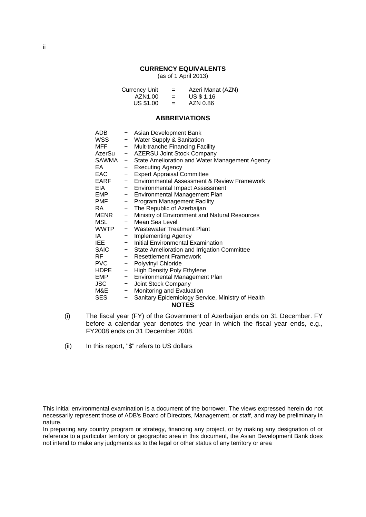#### **CURRENCY EQUIVALENTS**

(as of 1 April 2013)

Currency Unit = Azeri Manat (AZN)  $AZN1.00 = US $1.16$  $US $1.00 = AXN 0.86$ 

#### **ABBREVIATIONS**

|                              | - Asian Development Bank                               |
|------------------------------|--------------------------------------------------------|
|                              | - Water Supply & Sanitation                            |
|                              | - Mult-tranche Financing Facility                      |
|                              | - AZERSU Joint Stock Company                           |
|                              | SAWMA - State Amelioration and Water Management Agency |
|                              | - Executing Agency                                     |
|                              | - Expert Appraisal Committee                           |
|                              | - Environmental Assessment & Review Framework          |
|                              | - Environmental Impact Assessment                      |
| $\frac{1}{2}$                | Environmental Management Plan                          |
| $\qquad \qquad \blacksquare$ | Program Management Facility                            |
|                              | - The Republic of Azerbaijan                           |
|                              | - Ministry of Environment and Natural Resources        |
|                              | - Mean Sea Level                                       |
|                              | WWTP - Wastewater Treatment Plant                      |
| $-$                          | Implementing Agency                                    |
|                              | - Initial Environmental Examination                    |
|                              | - State Amelioration and Irrigation Committee          |
|                              | - Resettlement Framework                               |
|                              | - Polyvinyl Chloride                                   |
|                              | - High Density Poly Ethylene                           |
| $\sim$                       | Environmental Management Plan                          |
|                              | - Joint Stock Company                                  |
| $-$                          | Monitoring and Evaluation                              |
| -                            | Sanitary Epidemiology Service, Ministry of Health      |
|                              | <b>NOTES</b>                                           |
|                              | AzerSu<br><b>MENR</b>                                  |

- (i) The fiscal year (FY) of the Government of Azerbaijan ends on 31 December. FY before a calendar year denotes the year in which the fiscal year ends, e.g., FY2008 ends on 31 December 2008.
- (ii) In this report, "\$" refers to US dollars

In preparing any country program or strategy, financing any project, or by making any designation of or reference to a particular territory or geographic area in this document, the Asian Development Bank does not intend to make any judgments as to the legal or other status of any territory or area

This initial environmental examination is a document of the borrower. The views expressed herein do not necessarily represent those of ADB's Board of Directors, Management, or staff, and may be preliminary in nature.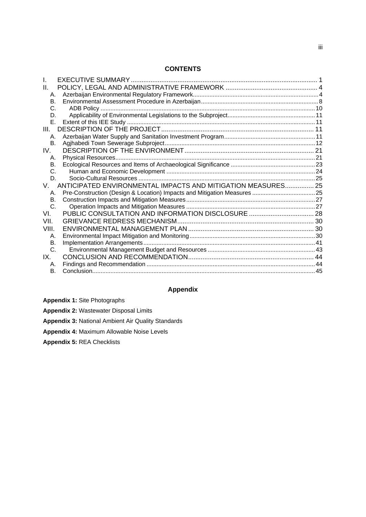#### **CONTENTS**

| II.       |                                                              |  |
|-----------|--------------------------------------------------------------|--|
| А.        |                                                              |  |
| <b>B.</b> |                                                              |  |
| C.        |                                                              |  |
| D.        |                                                              |  |
| Е.        |                                                              |  |
| Ш.        |                                                              |  |
| А.        |                                                              |  |
| <b>B.</b> |                                                              |  |
| IV.       |                                                              |  |
| А.        |                                                              |  |
| В.        |                                                              |  |
| C.        |                                                              |  |
| D.        |                                                              |  |
| V.        | ANTICIPATED ENVIRONMENTAL IMPACTS AND MITIGATION MEASURES 25 |  |
| А.        |                                                              |  |
| В.        |                                                              |  |
| C.        |                                                              |  |
| VI.       |                                                              |  |
| VII.      |                                                              |  |
| VIII.     |                                                              |  |
| Α.        |                                                              |  |
| В.        |                                                              |  |
| C.        |                                                              |  |
| IX.       |                                                              |  |
| А.        |                                                              |  |
| Β.        |                                                              |  |
|           |                                                              |  |

## **Appendix**

**Appendix 1:** Site Photographs

| <b>Appendix 2: Wastewater Disposal Limits</b> |
|-----------------------------------------------|
|-----------------------------------------------|

**Appendix 3:** National Ambient Air Quality Standards

**Appendix 4:** Maximum Allowable Noise Levels

**Appendix 5:** REA Checklists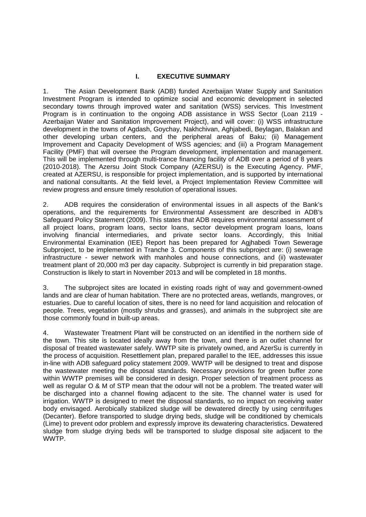#### **I. EXECUTIVE SUMMARY**

1. The Asian Development Bank (ADB) funded Azerbaijan Water Supply and Sanitation Investment Program is intended to optimize social and economic development in selected secondary towns through improved water and sanitation (WSS) services. This Investment Program is in continuation to the ongoing ADB assistance in WSS Sector (Loan 2119 - Azerbaijan Water and Sanitation Improvement Project), and will cover: (i) WSS infrastructure development in the towns of Agdash, Goychay, Nakhchivan, Aghjabedi, Beylagan, Balakan and other developing urban centers, and the peripheral areas of Baku; (ii) Management Improvement and Capacity Development of WSS agencies; and (iii) a Program Management Facility (PMF) that will oversee the Program development, implementation and management. This will be implemented through multi-trance financing facility of ADB over a period of 8 years (2010-2018). The Azersu Joint Stock Company (AZERSU) is the Executing Agency. PMF, created at AZERSU, is responsible for project implementation, and is supported by international and national consultants. At the field level, a Project Implementation Review Committee will review progress and ensure timely resolution of operational issues.

2. ADB requires the consideration of environmental issues in all aspects of the Bank's operations, and the requirements for Environmental Assessment are described in ADB's Safeguard Policy Statement (2009). This states that ADB requires environmental assessment of all project loans, program loans, sector loans, sector development program loans, loans involving financial intermediaries, and private sector loans. Accordingly, this Initial Environmental Examination (IEE) Report has been prepared for Agjhabedi Town Sewerage Subproject, to be implemented in Tranche 3. Components of this subproject are: (i) sewerage infrastructure - sewer network with manholes and house connections, and (ii) wastewater treatment plant of 20,000 m3 per day capacity. Subproject is currently in bid preparation stage. Construction is likely to start in November 2013 and will be completed in 18 months.

3. The subproject sites are located in existing roads right of way and government-owned lands and are clear of human habitation. There are no protected areas, wetlands, mangroves, or estuaries. Due to careful location of sites, there is no need for land acquisition and relocation of people. Trees, vegetation (mostly shrubs and grasses), and animals in the subproject site are those commonly found in built-up areas.

4. Wastewater Treatment Plant will be constructed on an identified in the northern side of the town. This site is located ideally away from the town, and there is an outlet channel for disposal of treated wastewater safely. WWTP site is privately owned, and AzerSu is currently in the process of acquisition. Resettlement plan, prepared parallel to the IEE, addresses this issue in-line with ADB safeguard policy statement 2009. WWTP will be designed to treat and dispose the wastewater meeting the disposal standards. Necessary provisions for green buffer zone within WWTP premises will be considered in design. Proper selection of treatment process as well as regular O & M of STP mean that the odour will not be a problem. The treated water will be discharged into a channel flowing adjacent to the site. The channel water is used for irrigation. WWTP is designed to meet the disposal standards, so no impact on receiving water body envisaged. Aerobically stabilized sludge will be dewatered directly by using centrifuges (Decanter). Before transported to sludge drying beds, sludge will be conditioned by chemicals (Lime) to prevent odor problem and expressly improve its dewatering characteristics. Dewatered sludge from sludge drying beds will be transported to sludge disposal site adjacent to the WWTP.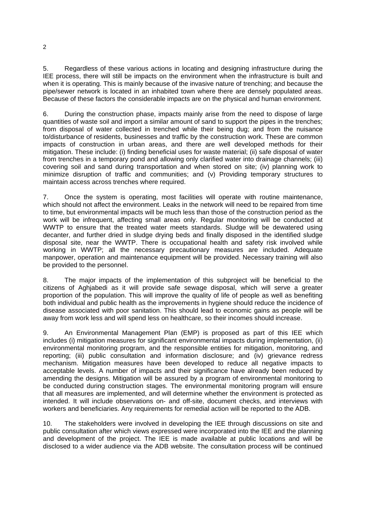5. Regardless of these various actions in locating and designing infrastructure during the IEE process, there will still be impacts on the environment when the infrastructure is built and when it is operating. This is mainly because of the invasive nature of trenching; and because the pipe/sewer network is located in an inhabited town where there are densely populated areas. Because of these factors the considerable impacts are on the physical and human environment.

6. During the construction phase, impacts mainly arise from the need to dispose of large quantities of waste soil and import a similar amount of sand to support the pipes in the trenches; from disposal of water collected in trenched while their being dug; and from the nuisance to/disturbance of residents, businesses and traffic by the construction work. These are common impacts of construction in urban areas, and there are well developed methods for their mitigation. These include: (i) finding beneficial uses for waste material; (ii) safe disposal of water from trenches in a temporary pond and allowing only clarified water into drainage channels; (iii) covering soil and sand during transportation and when stored on site; (iv) planning work to minimize disruption of traffic and communities; and (v) Providing temporary structures to maintain access across trenches where required.

7. Once the system is operating, most facilities will operate with routine maintenance, which should not affect the environment. Leaks in the network will need to be repaired from time to time, but environmental impacts will be much less than those of the construction period as the work will be infrequent, affecting small areas only. Regular monitoring will be conducted at WWTP to ensure that the treated water meets standards. Sludge will be dewatered using decanter, and further dried in sludge drying beds and finally disposed in the identified sludge disposal site, near the WWTP. There is occupational health and safety risk involved while working in WWTP; all the necessary precautionary measures are included. Adequate manpower, operation and maintenance equipment will be provided. Necessary training will also be provided to the personnel.

8. The major impacts of the implementation of this subproject will be beneficial to the citizens of Aghjabedi as it will provide safe sewage disposal, which will serve a greater proportion of the population. This will improve the quality of life of people as well as benefiting both individual and public health as the improvements in hygiene should reduce the incidence of disease associated with poor sanitation. This should lead to economic gains as people will be away from work less and will spend less on healthcare, so their incomes should increase.

9. An Environmental Management Plan (EMP) is proposed as part of this IEE which includes (i) mitigation measures for significant environmental impacts during implementation, (ii) environmental monitoring program, and the responsible entities for mitigation, monitoring, and reporting; (iii) public consultation and information disclosure; and (iv) grievance redress mechanism. Mitigation measures have been developed to reduce all negative impacts to acceptable levels. A number of impacts and their significance have already been reduced by amending the designs. Mitigation will be assured by a program of environmental monitoring to be conducted during construction stages. The environmental monitoring program will ensure that all measures are implemented, and will determine whether the environment is protected as intended. It will include observations on- and off-site, document checks, and interviews with workers and beneficiaries. Any requirements for remedial action will be reported to the ADB.

10. The stakeholders were involved in developing the IEE through discussions on site and public consultation after which views expressed were incorporated into the IEE and the planning and development of the project. The IEE is made available at public locations and will be disclosed to a wider audience via the ADB website. The consultation process will be continued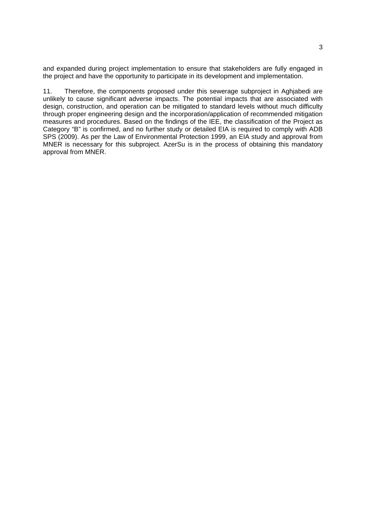and expanded during project implementation to ensure that stakeholders are fully engaged in the project and have the opportunity to participate in its development and implementation.

11. Therefore, the components proposed under this sewerage subproject in Aghjabedi are unlikely to cause significant adverse impacts. The potential impacts that are associated with design, construction, and operation can be mitigated to standard levels without much difficulty through proper engineering design and the incorporation/application of recommended mitigation measures and procedures. Based on the findings of the IEE, the classification of the Project as Category "B" is confirmed, and no further study or detailed EIA is required to comply with ADB SPS (2009). As per the Law of Environmental Protection 1999, an EIA study and approval from MNER is necessary for this subproject. AzerSu is in the process of obtaining this mandatory approval from MNER.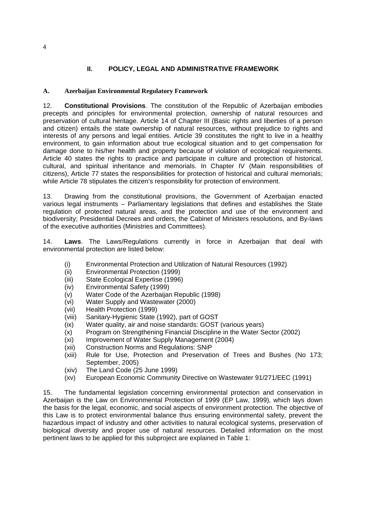## **II. POLICY, LEGAL AND ADMINISTRATIVE FRAMEWORK**

#### **A. Azerbaijan Environmental Regulatory Framework**

12. **Constitutional Provisions**. The constitution of the Republic of Azerbaijan embodies precepts and principles for environmental protection, ownership of natural resources and preservation of cultural heritage. Article 14 of Chapter III (Basic rights and liberties of a person and citizen) entails the state ownership of natural resources, without prejudice to rights and interests of any persons and legal entities. Article 39 constitutes the right to live in a healthy environment, to gain information about true ecological situation and to get compensation for damage done to his/her health and property because of violation of ecological requirements. Article 40 states the rights to practice and participate in culture and protection of historical, cultural, and spiritual inheritance and memorials. In Chapter IV (Main responsibilities of citizens), Article 77 states the responsibilities for protection of historical and cultural memorials; while Article 78 stipulates the citizen's responsibility for protection of environment.

13. Drawing from the constitutional provisions, the Government of Azerbaijan enacted various legal instruments – Parliamentary legislations that defines and establishes the State regulation of protected natural areas, and the protection and use of the environment and biodiversity; Presidential Decrees and orders, the Cabinet of Ministers resolutions, and By-laws of the executive authorities (Ministries and Committees).

14. **Laws**. The Laws/Regulations currently in force in Azerbaijan that deal with environmental protection are listed below:

- (i) Environmental Protection and Utilization of Natural Resources (1992)
- (ii) Environmental Protection (1999)
- (iii) State Ecological Expertise (1996)
- (iv) Environmental Safety (1999)
- (v) Water Code of the Azerbaijan Republic (1998)
- (vi) Water Supply and Wastewater (2000)
- (vii) Health Protection (1999)
- (viii) Sanitary-Hygienic State (1992), part of GOST
- (ix) Water quality, air and noise standards: GOST (various years)
- (x) Program on Strengthening Financial Discipline in the Water Sector (2002)
- (xi) Improvement of Water Supply Management (2004)
- (xii) Construction Norms and Regulations: SNiP
- (xiii) Rule for Use, Protection and Preservation of Trees and Bushes (No 173; September, 2005)
- (xiv) The Land Code (25 June 1999)
- (xv) European Economic Community Directive on Wastewater 91/271/EEC (1991)

15. The fundamental legislation concerning environmental protection and conservation in Azerbaijan is the Law on Environmental Protection of 1999 (EP Law, 1999), which lays down the basis for the legal, economic, and social aspects of environment protection. The objective of this Law is to protect environmental balance thus ensuring environmental safety, prevent the hazardous impact of industry and other activities to natural ecological systems, preservation of biological diversity and proper use of natural resources. Detailed information on the most pertinent laws to be applied for this subproject are explained in Table 1: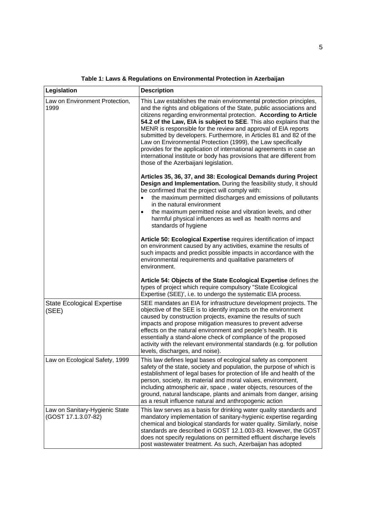| Legislation                                           | <b>Description</b>                                                                                                                                                                                                                                                                                                                                                                                                                                                                                                                                                                                                                                                                       |
|-------------------------------------------------------|------------------------------------------------------------------------------------------------------------------------------------------------------------------------------------------------------------------------------------------------------------------------------------------------------------------------------------------------------------------------------------------------------------------------------------------------------------------------------------------------------------------------------------------------------------------------------------------------------------------------------------------------------------------------------------------|
| Law on Environment Protection,<br>1999                | This Law establishes the main environmental protection principles,<br>and the rights and obligations of the State, public associations and<br>citizens regarding environmental protection. According to Article<br>54.2 of the Law, EIA is subject to SEE. This also explains that the<br>MENR is responsible for the review and approval of EIA reports<br>submitted by developers. Furthermore, in Articles 81 and 82 of the<br>Law on Environmental Protection (1999), the Law specifically<br>provides for the application of international agreements in case an<br>international institute or body has provisions that are different from<br>those of the Azerbaijani legislation. |
|                                                       | Articles 35, 36, 37, and 38: Ecological Demands during Project<br>Design and Implementation. During the feasibility study, it should<br>be confirmed that the project will comply with:<br>the maximum permitted discharges and emissions of pollutants<br>in the natural environment<br>the maximum permitted noise and vibration levels, and other<br>harmful physical influences as well as health norms and<br>standards of hygiene                                                                                                                                                                                                                                                  |
|                                                       | Article 50: Ecological Expertise requires identification of impact<br>on environment caused by any activities, examine the results of<br>such impacts and predict possible impacts in accordance with the<br>environmental requirements and qualitative parameters of<br>environment.                                                                                                                                                                                                                                                                                                                                                                                                    |
|                                                       | Article 54: Objects of the State Ecological Expertise defines the<br>types of project which require compulsory "State Ecological<br>Expertise (SEE)', i.e. to undergo the systematic EIA process.                                                                                                                                                                                                                                                                                                                                                                                                                                                                                        |
| <b>State Ecological Expertise</b><br>(SEE)            | SEE mandates an EIA for infrastructure development projects. The<br>objective of the SEE is to identify impacts on the environment<br>caused by construction projects, examine the results of such<br>impacts and propose mitigation measures to prevent adverse<br>effects on the natural environment and people's health. It is<br>essentially a stand-alone check of compliance of the proposed<br>activity with the relevant environmental standards (e.g. for pollution<br>levels, discharges, and noise).                                                                                                                                                                          |
| Law on Ecological Safety, 1999                        | This law defines legal bases of ecological safety as component<br>safety of the state, society and population, the purpose of which is<br>establishment of legal bases for protection of life and health of the<br>person, society, its material and moral values, environment,<br>including atmospheric air, space, water objects, resources of the<br>ground, natural landscape, plants and animals from danger, arising<br>as a result influence natural and anthropogenic action                                                                                                                                                                                                     |
| Law on Sanitary-Hygienic State<br>(GOST 17.1.3.07-82) | This law serves as a basis for drinking water quality standards and<br>mandatory implementation of sanitary-hygienic expertise regarding<br>chemical and biological standards for water quality. Similarly, noise<br>standards are described in GOST 12.1.003-83. However, the GOST<br>does not specify regulations on permitted effluent discharge levels<br>post wastewater treatment. As such, Azerbaijan has adopted                                                                                                                                                                                                                                                                 |

**Table 1: Laws & Regulations on Environmental Protection in Azerbaijan**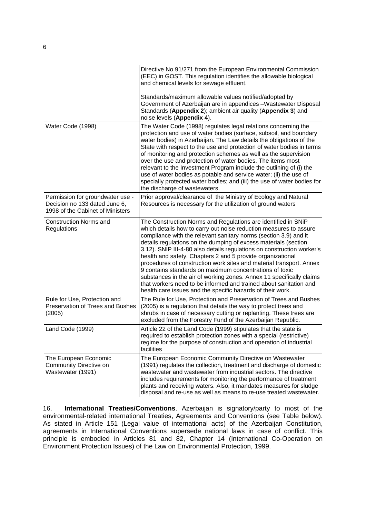|                                                                                                       | Directive No 91/271 from the European Environmental Commission<br>(EEC) in GOST. This regulation identifies the allowable biological<br>and chemical levels for sewage effluent.                                                                                                                                                                                                                                                                                                                                                                                                                                                                                                                                                                               |
|-------------------------------------------------------------------------------------------------------|----------------------------------------------------------------------------------------------------------------------------------------------------------------------------------------------------------------------------------------------------------------------------------------------------------------------------------------------------------------------------------------------------------------------------------------------------------------------------------------------------------------------------------------------------------------------------------------------------------------------------------------------------------------------------------------------------------------------------------------------------------------|
|                                                                                                       | Standards/maximum allowable values notified/adopted by<br>Government of Azerbaijan are in appendices - Wastewater Disposal<br>Standards (Appendix 2); ambient air quality (Appendix 3) and<br>noise levels (Appendix 4).                                                                                                                                                                                                                                                                                                                                                                                                                                                                                                                                       |
| Water Code (1998)                                                                                     | The Water Code (1998) regulates legal relations concerning the<br>protection and use of water bodies (surface, subsoil, and boundary<br>water bodies) in Azerbaijan. The Law details the obligations of the<br>State with respect to the use and protection of water bodies in terms<br>of monitoring and protection schemes as well as the supervision<br>over the use and protection of water bodies. The items most<br>relevant to the Investment Program include the outlining of (i) the<br>use of water bodies as potable and service water; (ii) the use of<br>specially protected water bodies; and (iii) the use of water bodies for<br>the discharge of wastewaters.                                                                                 |
| Permission for groundwater use -<br>Decision no 133 dated June 6,<br>1998 of the Cabinet of Ministers | Prior approval/clearance of the Ministry of Ecology and Natural<br>Resources is necessary for the utilization of ground waters                                                                                                                                                                                                                                                                                                                                                                                                                                                                                                                                                                                                                                 |
| <b>Construction Norms and</b><br>Regulations                                                          | The Construction Norms and Regulations are identified in SNiP<br>which details how to carry out noise reduction measures to assure<br>compliance with the relevant sanitary norms (section 3.9) and it<br>details regulations on the dumping of excess materials (section<br>3.12). SNIP III-4-80 also details regulations on construction worker's<br>health and safety. Chapters 2 and 5 provide organizational<br>procedures of construction work sites and material transport. Annex<br>9 contains standards on maximum concentrations of toxic<br>substances in the air of working zones. Annex 11 specifically claims<br>that workers need to be informed and trained about sanitation and<br>health care issues and the specific hazards of their work. |
| Rule for Use, Protection and<br>Preservation of Trees and Bushes<br>(2005)                            | The Rule for Use, Protection and Preservation of Trees and Bushes<br>(2005) is a regulation that details the way to protect trees and<br>shrubs in case of necessary cutting or replanting. These trees are<br>excluded from the Forestry Fund of the Azerbaijan Republic.                                                                                                                                                                                                                                                                                                                                                                                                                                                                                     |
| Land Code (1999)                                                                                      | Article 22 of the Land Code (1999) stipulates that the state is<br>required to establish protection zones with a special (restrictive)<br>regime for the purpose of construction and operation of industrial<br>facilities                                                                                                                                                                                                                                                                                                                                                                                                                                                                                                                                     |
| The European Economic<br>Community Directive on<br>Wastewater (1991)                                  | The European Economic Community Directive on Wastewater<br>(1991) regulates the collection, treatment and discharge of domestic<br>wastewater and wastewater from industrial sectors. The directive<br>includes requirements for monitoring the performance of treatment<br>plants and receiving waters. Also, it mandates measures for sludge<br>disposal and re-use as well as means to re-use treated wastewater.                                                                                                                                                                                                                                                                                                                                           |

16. **International Treaties/Conventions**. Azerbaijan is signatory/party to most of the environmental-related international Treaties, Agreements and Conventions (see Table below). As stated in Article 151 (Legal value of international acts) of the Azerbaijan Constitution, agreements in International Conventions supersede national laws in case of conflict. This principle is embodied in Articles 81 and 82, Chapter 14 (International Co-Operation on Environment Protection Issues) of the Law on Environmental Protection, 1999.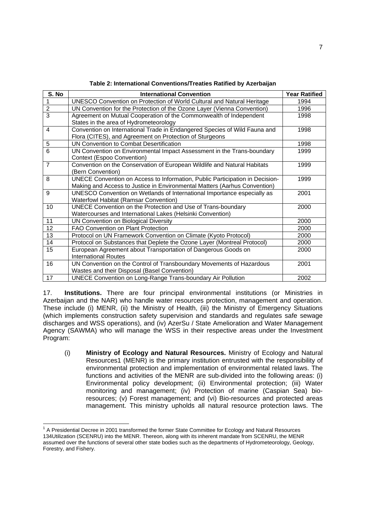| S. No          | <b>International Convention</b>                                              | <b>Year Ratified</b> |
|----------------|------------------------------------------------------------------------------|----------------------|
| $\mathbf{1}$   | UNESCO Convention on Protection of World Cultural and Natural Heritage       | 1994                 |
| $\overline{2}$ | UN Convention for the Protection of the Ozone Layer (Vienna Convention)      | 1996                 |
| $\overline{3}$ | Agreement on Mutual Cooperation of the Commonwealth of Independent           | 1998                 |
|                | States in the area of Hydrometeorology                                       |                      |
| 4              | Convention on International Trade in Endangered Species of Wild Fauna and    | 1998                 |
|                | Flora (CITES), and Agreement on Protection of Sturgeons                      |                      |
| 5              | UN Convention to Combat Desertification                                      | 1998                 |
| 6              | UN Convention on Environmental Impact Assessment in the Trans-boundary       | 1999                 |
|                | Context (Espoo Convention)                                                   |                      |
| $\overline{7}$ | Convention on the Conservation of European Wildlife and Natural Habitats     | 1999                 |
|                | (Bern Convention)                                                            |                      |
| 8              | UNECE Convention on Access to Information, Public Participation in Decision- | 1999                 |
|                | Making and Access to Justice in Environmental Matters (Aarhus Convention)    |                      |
| 9              | UNESCO Convention on Wetlands of International Importance especially as      | 2001                 |
|                | <b>Waterfowl Habitat (Ramsar Convention)</b>                                 |                      |
| 10             | UNECE Convention on the Protection and Use of Trans-boundary                 | 2000                 |
|                | Watercourses and International Lakes (Helsinki Convention)                   |                      |
| 11             | UN Convention on Biological Diversity                                        | 2000                 |
| 12             | <b>FAO Convention on Plant Protection</b>                                    | 2000                 |
| 13             | Protocol on UN Framework Convention on Climate (Kyoto Protocol)              | 2000                 |
| 14             | Protocol on Substances that Deplete the Ozone Layer (Montreal Protocol)      | 2000                 |
| 15             | European Agreement about Transportation of Dangerous Goods on                | 2000                 |
|                | <b>International Routes</b>                                                  |                      |
| 16             | UN Convention on the Control of Transboundary Movements of Hazardous         | 2001                 |
|                | Wastes and their Disposal (Basel Convention)                                 |                      |
| 17             | <b>UNECE Convention on Long-Range Trans-boundary Air Pollution</b>           | 2002                 |

**Table 2: International Conventions/Treaties Ratified by Azerbaijan** 

17. **Institutions.** There are four principal environmental institutions (or Ministries in Azerbaijan and the NAR) who handle water resources protection, management and operation. These include (i) MENR, (ii) the Ministry of Health, (iii) the Ministry of Emergency Situations (which implements construction safety supervision and standards and regulates safe sewage discharges and WSS operations), and (iv) AzerSu / State Amelioration and Water Management Agency (SAWMA) who will manage the WSS in their respective areas under the Investment Program:

(i) **Ministry of Ecology and Natural Resources.** Ministry of Ecology and Natural Resources1 (MENR) is the primary institution entrusted with the responsibility of environmental protection and implementation of environmental related laws. The functions and activities of the MENR are sub-divided into the following areas: (i) Environmental policy development; (ii) Environmental protection; (iii) Water monitoring and management; (iv) Protection of marine (Caspian Sea) bioresources; (v) Forest management; and (vi) Bio-resources and protected areas management. This ministry upholds all natural resource protection laws. The

<sup>-</sup><sup>1</sup> A Presidential Decree in 2001 transformed the former State Committee for Ecology and Natural Resources 134Utilization (SCENRU) into the MENR. Thereon, along with its inherent mandate from SCENRU, the MENR assumed over the functions of several other state bodies such as the departments of Hydrometeorology, Geology, Forestry, and Fishery.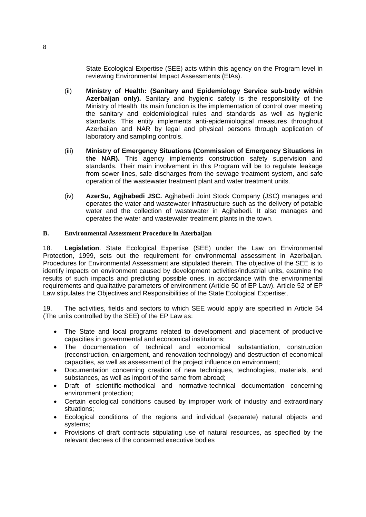State Ecological Expertise (SEE) acts within this agency on the Program level in reviewing Environmental Impact Assessments (EIAs).

- (ii) **Ministry of Health: (Sanitary and Epidemiology Service sub-body within Azerbaijan only).** Sanitary and hygienic safety is the responsibility of the Ministry of Health. Its main function is the implementation of control over meeting the sanitary and epidemiological rules and standards as well as hygienic standards. This entity implements anti-epidemiological measures throughout Azerbaijan and NAR by legal and physical persons through application of laboratory and sampling controls.
- (iii) **Ministry of Emergency Situations (Commission of Emergency Situations in the NAR).** This agency implements construction safety supervision and standards. Their main involvement in this Program will be to regulate leakage from sewer lines, safe discharges from the sewage treatment system, and safe operation of the wastewater treatment plant and water treatment units.
- (iv) **AzerSu, Agjhabedi JSC.** Agjhabedi Joint Stock Company (JSC) manages and operates the water and wastewater infrastructure such as the delivery of potable water and the collection of wastewater in Agjhabedi. It also manages and operates the water and wastewater treatment plants in the town.

#### **B. Environmental Assessment Procedure in Azerbaijan**

18. **Legislation**. State Ecological Expertise (SEE) under the Law on Environmental Protection, 1999, sets out the requirement for environmental assessment in Azerbaijan. Procedures for Environmental Assessment are stipulated therein. The objective of the SEE is to identify impacts on environment caused by development activities/industrial units, examine the results of such impacts and predicting possible ones, in accordance with the environmental requirements and qualitative parameters of environment (Article 50 of EP Law). Article 52 of EP Law stipulates the Objectives and Responsibilities of the State Ecological Expertise:.

19. The activities, fields and sectors to which SEE would apply are specified in Article 54 (The units controlled by the SEE) of the EP Law as:

- The State and local programs related to development and placement of productive capacities in governmental and economical institutions;
- The documentation of technical and economical substantiation, construction (reconstruction, enlargement, and renovation technology) and destruction of economical capacities, as well as assessment of the project influence on environment;
- Documentation concerning creation of new techniques, technologies, materials, and substances, as well as import of the same from abroad;
- Draft of scientific-methodical and normative-technical documentation concerning environment protection;
- Certain ecological conditions caused by improper work of industry and extraordinary situations;
- Ecological conditions of the regions and individual (separate) natural objects and systems;
- Provisions of draft contracts stipulating use of natural resources, as specified by the relevant decrees of the concerned executive bodies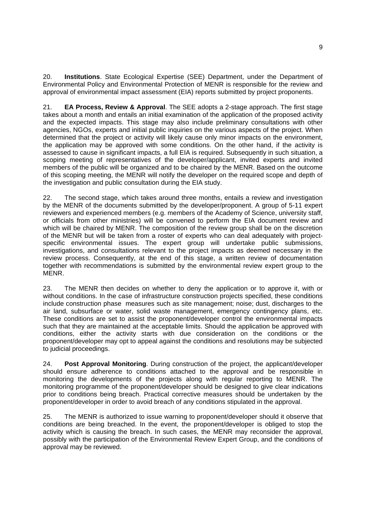20. **Institutions**. State Ecological Expertise (SEE) Department, under the Department of Environmental Policy and Environmental Protection of MENR is responsible for the review and approval of environmental impact assessment (EIA) reports submitted by project proponents.

21. **EA Process, Review & Approval**. The SEE adopts a 2-stage approach. The first stage takes about a month and entails an initial examination of the application of the proposed activity and the expected impacts. This stage may also include preliminary consultations with other agencies, NGOs, experts and initial public inquiries on the various aspects of the project. When determined that the project or activity will likely cause only minor impacts on the environment, the application may be approved with some conditions. On the other hand, if the activity is assessed to cause in significant impacts, a full EIA is required. Subsequently in such situation, a scoping meeting of representatives of the developer/applicant, invited experts and invited members of the public will be organized and to be chaired by the MENR. Based on the outcome of this scoping meeting, the MENR will notify the developer on the required scope and depth of the investigation and public consultation during the EIA study.

22. The second stage, which takes around three months, entails a review and investigation by the MENR of the documents submitted by the developer/proponent. A group of 5-11 expert reviewers and experienced members (e.g. members of the Academy of Science, university staff, or officials from other ministries) will be convened to perform the EIA document review and which will be chaired by MENR. The composition of the review group shall be on the discretion of the MENR but will be taken from a roster of experts who can deal adequately with projectspecific environmental issues. The expert group will undertake public submissions, investigations, and consultations relevant to the project impacts as deemed necessary in the review process. Consequently, at the end of this stage, a written review of documentation together with recommendations is submitted by the environmental review expert group to the MENR.

23. The MENR then decides on whether to deny the application or to approve it, with or without conditions. In the case of infrastructure construction projects specified, these conditions include construction phase measures such as site management; noise; dust, discharges to the air land, subsurface or water, solid waste management, emergency contingency plans, etc. These conditions are set to assist the proponent/developer control the environmental impacts such that they are maintained at the acceptable limits. Should the application be approved with conditions, either the activity starts with due consideration on the conditions or the proponent/developer may opt to appeal against the conditions and resolutions may be subjected to judicial proceedings.

24. **Post Approval Monitoring**. During construction of the project, the applicant/developer should ensure adherence to conditions attached to the approval and be responsible in monitoring the developments of the projects along with regular reporting to MENR. The monitoring programme of the proponent/developer should be designed to give clear indications prior to conditions being breach. Practical corrective measures should be undertaken by the proponent/developer in order to avoid breach of any conditions stipulated in the approval.

25. The MENR is authorized to issue warning to proponent/developer should it observe that conditions are being breached. In the event, the proponent/developer is obliged to stop the activity which is causing the breach. In such cases, the MENR may reconsider the approval, possibly with the participation of the Environmental Review Expert Group, and the conditions of approval may be reviewed.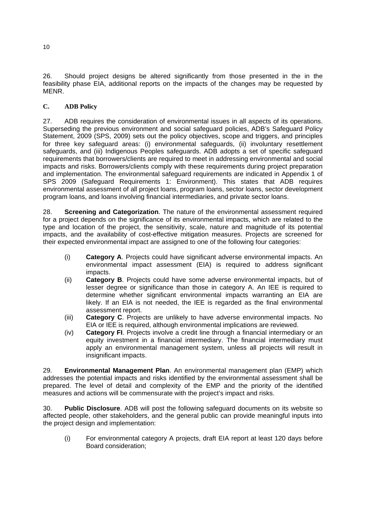26. Should project designs be altered significantly from those presented in the in the feasibility phase EIA, additional reports on the impacts of the changes may be requested by MENR.

## **C. ADB Policy**

27. ADB requires the consideration of environmental issues in all aspects of its operations. Superseding the previous environment and social safeguard policies, ADB's Safeguard Policy Statement, 2009 (SPS, 2009) sets out the policy objectives, scope and triggers, and principles for three key safeguard areas: (i) environmental safeguards, (ii) involuntary resettlement safeguards, and (iii) Indigenous Peoples safeguards. ADB adopts a set of specific safeguard requirements that borrowers/clients are required to meet in addressing environmental and social impacts and risks. Borrowers/clients comply with these requirements during project preparation and implementation. The environmental safeguard requirements are indicated in Appendix 1 of SPS 2009 (Safeguard Requirements 1: Environment). This states that ADB requires environmental assessment of all project loans, program loans, sector loans, sector development program loans, and loans involving financial intermediaries, and private sector loans.

28. **Screening and Categorization**. The nature of the environmental assessment required for a project depends on the significance of its environmental impacts, which are related to the type and location of the project, the sensitivity, scale, nature and magnitude of its potential impacts, and the availability of cost-effective mitigation measures. Projects are screened for their expected environmental impact are assigned to one of the following four categories:

- (i) **Category A**. Projects could have significant adverse environmental impacts. An environmental impact assessment (EIA) is required to address significant impacts.
- (ii) **Category B**. Projects could have some adverse environmental impacts, but of lesser degree or significance than those in category A. An IEE is required to determine whether significant environmental impacts warranting an EIA are likely. If an EIA is not needed, the IEE is regarded as the final environmental assessment report.
- (iii) **Category C**. Projects are unlikely to have adverse environmental impacts. No EIA or IEE is required, although environmental implications are reviewed.
- (iv) **Category FI**. Projects involve a credit line through a financial intermediary or an equity investment in a financial intermediary. The financial intermediary must apply an environmental management system, unless all projects will result in insignificant impacts.

29. **Environmental Management Plan**. An environmental management plan (EMP) which addresses the potential impacts and risks identified by the environmental assessment shall be prepared. The level of detail and complexity of the EMP and the priority of the identified measures and actions will be commensurate with the project's impact and risks.

30. **Public Disclosure**. ADB will post the following safeguard documents on its website so affected people, other stakeholders, and the general public can provide meaningful inputs into the project design and implementation:

(i) For environmental category A projects, draft EIA report at least 120 days before Board consideration;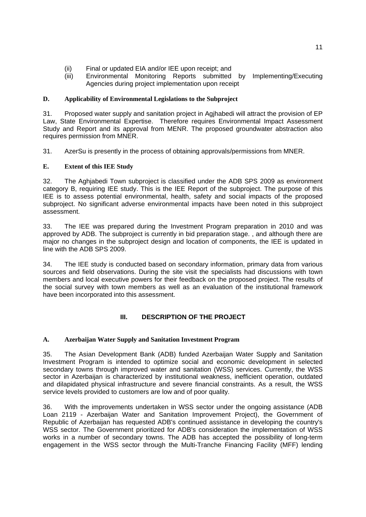- (ii) Final or updated EIA and/or IEE upon receipt; and
- (iii) Environmental Monitoring Reports submitted by Implementing/Executing Agencies during project implementation upon receipt

#### **D. Applicability of Environmental Legislations to the Subproject**

31. Proposed water supply and sanitation project in Agjhabedi will attract the provision of EP Law, State Environmental Expertise. Therefore requires Environmental Impact Assessment Study and Report and its approval from MENR. The proposed groundwater abstraction also requires permission from MNER.

31. AzerSu is presently in the process of obtaining approvals/permissions from MNER.

#### **E. Extent of this IEE Study**

32. The Aghjabedi Town subproject is classified under the ADB SPS 2009 as environment category B, requiring IEE study. This is the IEE Report of the subproject. The purpose of this IEE is to assess potential environmental, health, safety and social impacts of the proposed subproject. No significant adverse environmental impacts have been noted in this subproject assessment.

33. The IEE was prepared during the Investment Program preparation in 2010 and was approved by ADB. The subproject is currently in bid preparation stage. , and although there are major no changes in the subproject design and location of components, the IEE is updated in line with the ADB SPS 2009.

34. The IEE study is conducted based on secondary information, primary data from various sources and field observations. During the site visit the specialists had discussions with town members and local executive powers for their feedback on the proposed project. The results of the social survey with town members as well as an evaluation of the institutional framework have been incorporated into this assessment.

#### **III. DESCRIPTION OF THE PROJECT**

#### **A. Azerbaijan Water Supply and Sanitation Investment Program**

35. The Asian Development Bank (ADB) funded Azerbaijan Water Supply and Sanitation Investment Program is intended to optimize social and economic development in selected secondary towns through improved water and sanitation (WSS) services. Currently, the WSS sector in Azerbaijan is characterized by institutional weakness, inefficient operation, outdated and dilapidated physical infrastructure and severe financial constraints. As a result, the WSS service levels provided to customers are low and of poor quality.

36. With the improvements undertaken in WSS sector under the ongoing assistance (ADB Loan 2119 - Azerbaijan Water and Sanitation Improvement Project), the Government of Republic of Azerbaijan has requested ADB's continued assistance in developing the country's WSS sector. The Government prioritized for ADB's consideration the implementation of WSS works in a number of secondary towns. The ADB has accepted the possibility of long-term engagement in the WSS sector through the Multi-Tranche Financing Facility (MFF) lending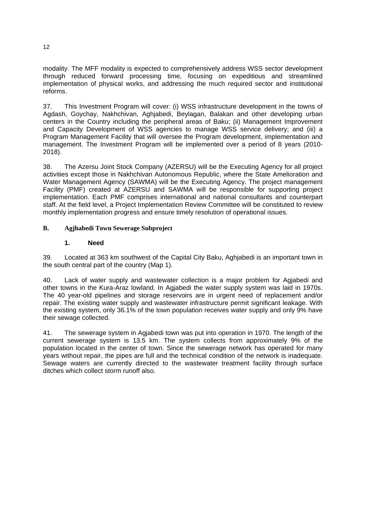modality. The MFF modality is expected to comprehensively address WSS sector development through reduced forward processing time, focusing on expeditious and streamlined implementation of physical works, and addressing the much required sector and institutional reforms.

37. This Investment Program will cover: (i) WSS infrastructure development in the towns of Agdash, Goychay, Nakhchivan, Aghjabedi, Beylagan, Balakan and other developing urban centers in the Country including the peripheral areas of Baku; (ii) Management Improvement and Capacity Development of WSS agencies to manage WSS service delivery; and (iii) a Program Management Facility that will oversee the Program development, implementation and management. The Investment Program will be implemented over a period of 8 years (2010- 2018).

38. The Azersu Joint Stock Company (AZERSU) will be the Executing Agency for all project activities except those in Nakhchivan Autonomous Republic, where the State Amelioration and Water Management Agency (SAWMA) will be the Executing Agency. The project management Facility (PMF) created at AZERSU and SAWMA will be responsible for supporting project implementation. Each PMF comprises international and national consultants and counterpart staff. At the field level, a Project Implementation Review Committee will be constituted to review monthly implementation progress and ensure timely resolution of operational issues.

## **B. Agjhabedi Town Sewerage Subproject**

#### **1. Need**

39. Located at 363 km southwest of the Capital City Baku, Aghjabedi is an important town in the south central part of the country (Map 1).

40. Lack of water supply and wastewater collection is a major problem for Agjabedi and other towns in the Kura-Araz lowland. In Agjabedi the water supply system was laid in 1970s. The 40 year-old pipelines and storage reservoirs are in urgent need of replacement and/or repair. The existing water supply and wastewater infrastructure permit significant leakage. With the existing system, only 36.1% of the town population receives water supply and only 9% have their sewage collected.

41. The sewerage system in Agjabedi town was put into operation in 1970. The length of the current sewerage system is 13.5 km. The system collects from approximately 9% of the population located in the center of town. Since the sewerage network has operated for many years without repair, the pipes are full and the technical condition of the network is inadequate. Sewage waters are currently directed to the wastewater treatment facility through surface ditches which collect storm runoff also.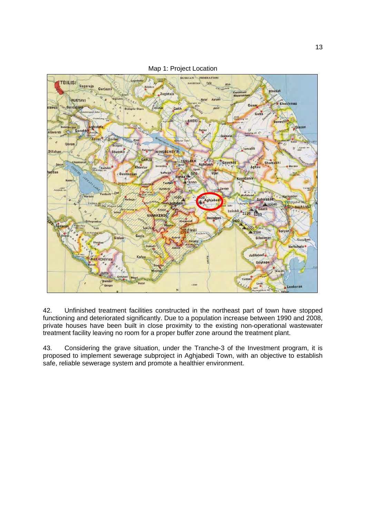

Map 1: Project Location

42. Unfinished treatment facilities constructed in the northeast part of town have stopped functioning and deteriorated significantly. Due to a population increase between 1990 and 2008, private houses have been built in close proximity to the existing non-operational wastewater treatment facility leaving no room for a proper buffer zone around the treatment plant.

43. Considering the grave situation, under the Tranche-3 of the Investment program, it is proposed to implement sewerage subproject in Aghjabedi Town, with an objective to establish safe, reliable sewerage system and promote a healthier environment.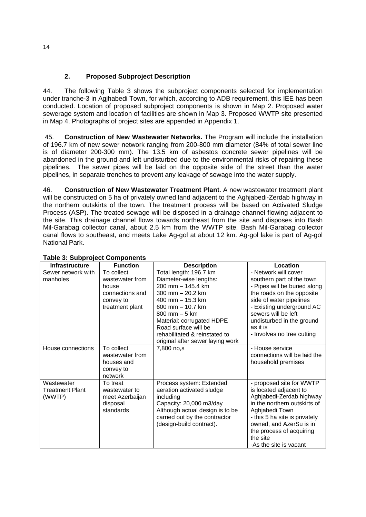## **2. Proposed Subproject Description**

44. The following Table 3 shows the subproject components selected for implementation under tranche-3 in Agjhabedi Town, for which, according to ADB requirement, this IEE has been conducted. Location of proposed subproject components is shown in Map 2. Proposed water sewerage system and location of facilities are shown in Map 3. Proposed WWTP site presented in Map 4. Photographs of project sites are appended in Appendix 1.

 45. **Construction of New Wastewater Networks.** The Program will include the installation of 196.7 km of new sewer network ranging from 200-800 mm diameter (84% of total sewer line is of diameter 200-300 mm). The 13.5 km of asbestos concrete sewer pipelines will be abandoned in the ground and left undisturbed due to the environmental risks of repairing these pipelines. The sewer pipes will be laid on the opposite side of the street than the water pipelines, in separate trenches to prevent any leakage of sewage into the water supply.

46. **Construction of New Wastewater Treatment Plant**. A new wastewater treatment plant will be constructed on 5 ha of privately owned land adjacent to the Aghjabedi-Zerdab highway in the northern outskirts of the town. The treatment process will be based on Activated Sludge Process (ASP). The treated sewage will be disposed in a drainage channel flowing adjacent to the site. This drainage channel flows towards northeast from the site and disposes into Bash Mil-Garabag collector canal, about 2.5 km from the WWTP site. Bash Mil-Garabag collector canal flows to southeast, and meets Lake Ag-gol at about 12 km. Ag-gol lake is part of Ag-gol National Park.

| יני יין<br>Infrastructure                      | <b>Function</b>                                                                           | <b>Description</b>                                                                                                                                                                                                                                                                                     | Location                                                                                                                                                                                                                                                             |
|------------------------------------------------|-------------------------------------------------------------------------------------------|--------------------------------------------------------------------------------------------------------------------------------------------------------------------------------------------------------------------------------------------------------------------------------------------------------|----------------------------------------------------------------------------------------------------------------------------------------------------------------------------------------------------------------------------------------------------------------------|
| Sewer network with<br>manholes                 | To collect<br>wastewater from<br>house<br>connections and<br>convey to<br>treatment plant | Total length: 196.7 km<br>Diameter-wise lengths:<br>200 mm - 145.4 km<br>300 mm $-$ 20.2 km<br>400 mm $-$ 15.3 km<br>600 mm - 10.7 km<br>$800 \, \text{mm} - 5 \, \text{km}$<br>Material: corrugated HDPE<br>Road surface will be<br>rehabilitated & reinstated to<br>original after sewer laying work | - Network will cover<br>southern part of the town<br>- Pipes will be buried along<br>the roads on the opposite<br>side of water pipelines<br>- Existing underground AC<br>sewers will be left<br>undisturbed in the ground<br>as it is<br>- Involves no tree cutting |
| House connections                              | To collect<br>wastewater from<br>houses and<br>convey to<br>network                       | 7,800 no,s                                                                                                                                                                                                                                                                                             | - House service<br>connections will be laid the<br>household premises                                                                                                                                                                                                |
| Wastewater<br><b>Treatment Plant</b><br>(WWTP) | To treat<br>wastewater to<br>meet Azerbaijan<br>disposal<br>standards                     | Process system: Extended<br>aeration activated sludge<br>including<br>Capacity: 20,000 m3/day<br>Although actual design is to be<br>carried out by the contractor<br>(design-build contract).                                                                                                          | - proposed site for WWTP<br>is located adjacent to<br>Aghjabedi-Zerdab highway<br>in the northern outskirts of<br>Aghjabedi Town<br>- this 5 ha site is privately<br>owned, and AzerSu is in<br>the process of acquiring<br>the site<br>-As the site is vacant       |

## **Table 3: Subproject Components**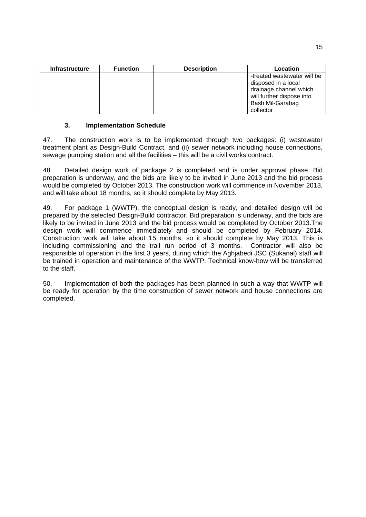| <b>Infrastructure</b> | <b>Function</b> | <b>Description</b> | Location                    |
|-----------------------|-----------------|--------------------|-----------------------------|
|                       |                 |                    | -treated wastewater will be |
|                       |                 |                    | disposed in a local         |
|                       |                 |                    | drainage channel which      |
|                       |                 |                    | will further dispose into   |
|                       |                 |                    | Bash Mil-Garabag            |
|                       |                 |                    | collector                   |

#### **3. Implementation Schedule**

47. The construction work is to be implemented through two packages: (i) wastewater treatment plant as Design-Build Contract, and (ii) sewer network including house connections, sewage pumping station and all the facilities – this will be a civil works contract.

48. Detailed design work of package 2 is completed and is under approval phase. Bid preparation is underway, and the bids are likely to be invited in June 2013 and the bid process would be completed by October 2013. The construction work will commence in November 2013, and will take about 18 months, so it should complete by May 2013.

49. For package 1 (WWTP), the conceptual design is ready, and detailed design will be prepared by the selected Design-Build contractor. Bid preparation is underway, and the bids are likely to be invited in June 2013 and the bid process would be completed by October 2013.The design work will commence immediately and should be completed by February 2014. Construction work will take about 15 months, so it should complete by May 2013. This is including commissioning and the trail run period of 3 months. Contractor will also be responsible of operation in the first 3 years, during which the Aghjabedi JSC (Sukanal) staff will be trained in operation and maintenance of the WWTP. Technical know-how will be transferred to the staff.

50. Implementation of both the packages has been planned in such a way that WWTP will be ready for operation by the time construction of sewer network and house connections are completed.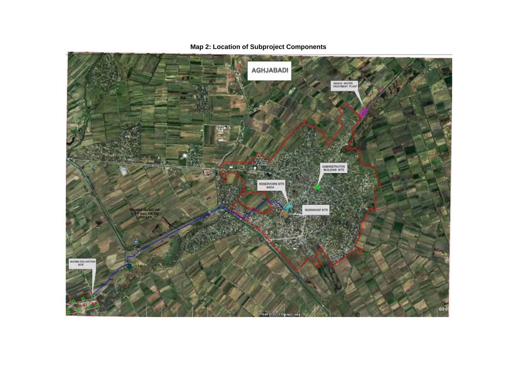

## **Map 2: Location of Subproject Components**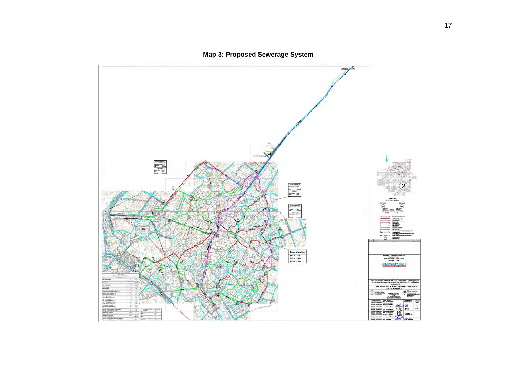**Map 3: Proposed Sewerage System** 

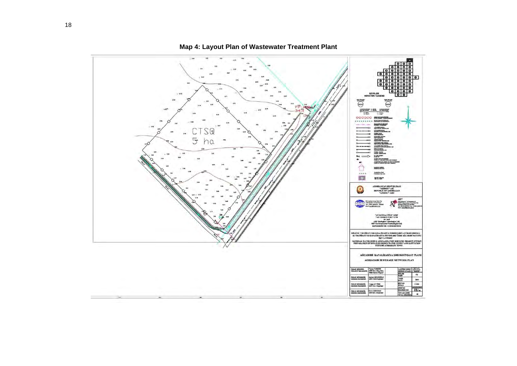

**Map 4: Layout Plan of Wastewater Treatment Plant**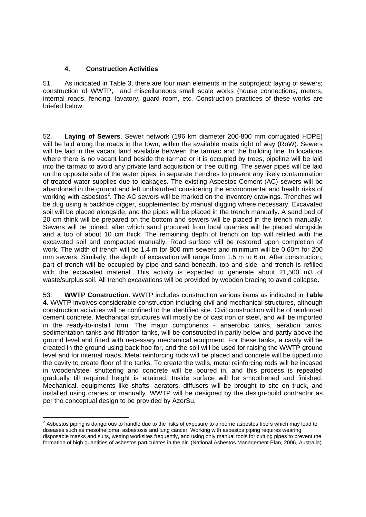#### **4. Construction Activities**

51. As indicated in Table 3, there are four main elements in the subproject: laying of sewers; construction of WWTP, and miscellaneous small scale works (house connections, meters, internal roads, fencing, lavatory, guard room, etc. Construction practices of these works are briefed below:

52. **Laying of Sewers**. Sewer network (196 km diameter 200-800 mm corrugated HDPE) will be laid along the roads in the town, within the available roads right of way (RoW). Sewers will be laid in the vacant land available between the tarmac and the building line. In locations where there is no vacant land beside the tarmac or it is occupied by trees, pipeline will be laid into the tarmac to avoid any private land acquisition or tree cutting. The sewer pipes will be laid on the opposite side of the water pipes, in separate trenches to prevent any likely contamination of treated water supplies due to leakages. The existing Asbestos Cement (AC) sewers will be abandoned in the ground and left undisturbed considering the environmental and health risks of working with asbestos<sup>2</sup>. The AC sewers will be marked on the inventory drawings. Trenches will be dug using a backhoe digger, supplemented by manual digging where necessary. Excavated soil will be placed alongside, and the pipes will be placed in the trench manually. A sand bed of 20 cm think will be prepared on the bottom and sewers will be placed in the trench manually. Sewers will be joined, after which sand procured from local quarries will be placed alongside and a top of about 10 cm thick. The remaining depth of trench on top will refilled with the excavated soil and compacted manually. Road surface will be restored upon completion of work. The width of trench will be 1.4 m for 800 mm sewers and minimum will be 0.60m for 200 mm sewers. Similarly, the depth of excavation will range from 1.5 m to 6 m. After construction, part of trench will be occupied by pipe and sand beneath, top and side, and trench is refilled with the excavated material. This activity is expected to generate about 21,500 m3 of waste/surplus soil. All trench excavations will be provided by wooden bracing to avoid collapse.

53. **WWTP Construction**. WWTP includes construction various items as indicated in **Table 4**. WWTP involves considerable construction including civil and mechanical structures, although construction activities will be confined to the identified site. Civil construction will be of reinforced cement concrete. Mechanical structures will mostly be of cast iron or steel, and will be imported in the ready-to-install form. The major components - anaerobic tanks, aeration tanks, sedimentation tanks and filtration tanks, will be constructed in partly below and partly above the ground level and fitted with necessary mechanical equipment. For these tanks, a cavity will be created in the ground using back hoe for, and the soil will be used for raising the WWTP ground level and for internal roads. Metal reinforcing rods will be placed and concrete will be tipped into the cavity to create floor of the tanks. To create the walls, metal reinforcing rods will be incased in wooden/steel shuttering and concrete will be poured in, and this process is repeated gradually till required height is attained. Inside surface will be smoothened and finished. Mechanical, equipments like shafts, aerators, diffusers will be brought to site on truck, and installed using cranes or manually. WWTP will be designed by the design-build contractor as per the conceptual design to be provided by AzerSu.

 2 Asbestos piping is dangerous to handle due to the risks of exposure to airborne asbestos fibers which may lead to diseases such as mesothelioma, asbestosis and lung cancer. Working with asbestos piping requires wearing disposable masks and suits, wetting worksites frequently, and using only manual tools for cutting pipes to prevent the formation of high quantities of asbestos particulates in the air. (National Asbestos Management Plan, 2006, Australia)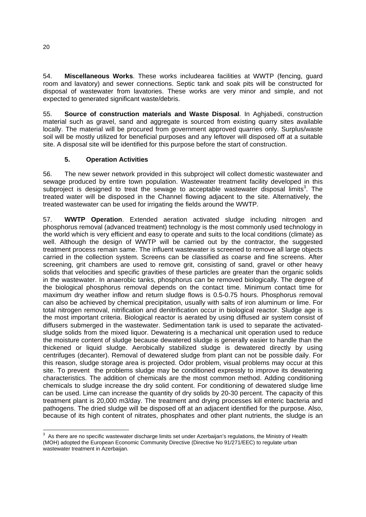54. **Miscellaneous Works**. These works includearea facilities at WWTP (fencing, guard room and lavatory) and sewer connections. Septic tank and soak pits will be constructed for disposal of wastewater from lavatories. These works are very minor and simple, and not expected to generated significant waste/debris.

55. **Source of construction materials and Waste Disposal**. In Aghjabedi, construction material such as gravel, sand and aggregate is sourced from existing quarry sites available locally. The material will be procured from government approved quarries only. Surplus/waste soil will be mostly utilized for beneficial purposes and any leftover will disposed off at a suitable site. A disposal site will be identified for this purpose before the start of construction.

## **5. Operation Activities**

56. The new sewer network provided in this subproject will collect domestic wastewater and sewage produced by entire town population. Wastewater treatment facility developed in this subproject is designed to treat the sewage to acceptable wastewater disposal limits<sup>3</sup>. The treated water will be disposed in the Channel flowing adjacent to the site. Alternatively, the treated wastewater can be used for irrigating the fields around the WWTP.

57. **WWTP Operation**. Extended aeration activated sludge including nitrogen and phosphorus removal (advanced treatment) technology is the most commonly used technology in the world which is very efficient and easy to operate and suits to the local conditions (climate) as well. Although the design of WWTP will be carried out by the contractor, the suggested treatment process remain same. The influent wastewater is screened to remove all large objects carried in the collection system. Screens can be classified as coarse and fine screens. After screening, grit chambers are used to remove grit, consisting of sand, gravel or other heavy solids that velocities and specific gravities of these particles are greater than the organic solids in the wastewater. In anaerobic tanks, phosphorus can be removed biologically. The degree of the biological phosphorus removal depends on the contact time. Minimum contact time for maximum dry weather inflow and return sludge flows is 0.5-0.75 hours. Phosphorus removal can also be achieved by chemical precipitation, usually with salts of iron aluminum or lime. For total nitrogen removal, nitrification and denitrification occur in biological reactor. Sludge age is the most important criteria. Biological reactor is aerated by using diffused air system consist of diffusers submerged in the wastewater. Sedimentation tank is used to separate the activatedsludge solids from the mixed liquor. Dewatering is a mechanical unit operation used to reduce the moisture content of sludge because dewatered sludge is generally easier to handle than the thickened or liquid sludge. Aerobically stabilized sludge is dewatered directly by using centrifuges (decanter). Removal of dewatered sludge from plant can not be possible daily. For this reason, sludge storage area is projected. Odor problem, visual problems may occur at this site. To prevent the problems sludge may be conditioned expressly to improve its dewatering characteristics. The addition of chemicals are the most common method. Adding conditioning chemicals to sludge increase the dry solid content. For conditioning of dewatered sludge lime can be used. Lime can increase the quantity of dry solids by 20-30 percent. The capacity of this treatment plant is 20,000 m3/day. The treatment and drying processes kill enteric bacteria and pathogens. The dried sludge will be disposed off at an adjacent identified for the purpose. Also, because of its high content of nitrates, phosphates and other plant nutrients, the sludge is an

 3 As there are no specific wastewater discharge limits set under Azerbaijan's regulations, the Ministry of Health (MOH) adopted the European Economic Community Directive (Directive No 91/271/EEC) to regulate urban wastewater treatment in Azerbaijan.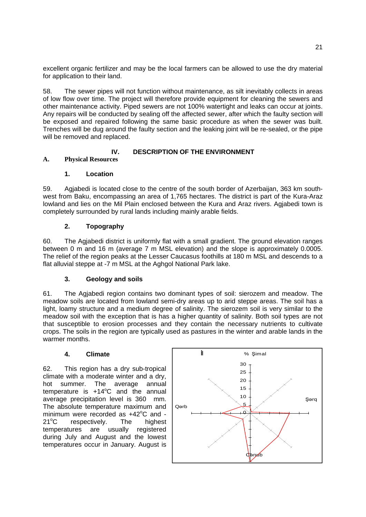excellent organic fertilizer and may be the local farmers can be allowed to use the dry material for application to their land.

58. The sewer pipes will not function without maintenance, as silt inevitably collects in areas of low flow over time. The project will therefore provide equipment for cleaning the sewers and other maintenance activity. Piped sewers are not 100% watertight and leaks can occur at joints. Any repairs will be conducted by sealing off the affected sewer, after which the faulty section will be exposed and repaired following the same basic procedure as when the sewer was built. Trenches will be dug around the faulty section and the leaking joint will be re-sealed, or the pipe will be removed and replaced.

#### **IV. DESCRIPTION OF THE ENVIRONMENT**

#### **A. Physical Resources**

#### **1. Location**

59. Agjabedi is located close to the centre of the south border of Azerbaijan, 363 km southwest from Baku, encompassing an area of 1,765 hectares. The district is part of the Kura-Araz lowland and lies on the Mil Plain enclosed between the Kura and Araz rivers. Agjabedi town is completely surrounded by rural lands including mainly arable fields.

#### **2. Topography**

60. The Agjabedi district is uniformly flat with a small gradient. The ground elevation ranges between 0 m and 16 m (average 7 m MSL elevation) and the slope is approximately 0.0005. The relief of the region peaks at the Lesser Caucasus foothills at 180 m MSL and descends to a flat alluvial steppe at -7 m MSL at the Aghgol National Park lake.

### **3. Geology and soils**

61. The Agjabedi region contains two dominant types of soil: sierozem and meadow. The meadow soils are located from lowland semi-dry areas up to arid steppe areas. The soil has a light, loamy structure and a medium degree of salinity. The sierozem soil is very similar to the meadow soil with the exception that is has a higher quantity of salinity. Both soil types are not that susceptible to erosion processes and they contain the necessary nutrients to cultivate crops. The soils in the region are typically used as pastures in the winter and arable lands in the warmer months.

#### **4. Climate**

62. This region has a dry sub-tropical climate with a moderate winter and a dry, hot summer. The average annual temperature is  $+14^{\circ}$ C and the annual average precipitation level is 360 mm. The absolute temperature maximum and minimum were recorded as  $+42^{\circ}$ C and - $21^{\circ}$ C respectively. The highest temperatures are usually registered during July and August and the lowest temperatures occur in January. August is

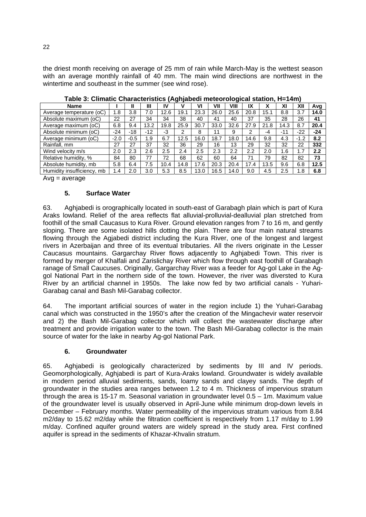the driest month receiving on average of 25 mm of rain while March-May is the wettest season with an average monthly rainfall of 40 mm. The main wind directions are northwest in the wintertime and southeast in the summer (see wind rose).

| -9-7                       |        |        |       |      |      |      |      |      |      |                |       |        |       |
|----------------------------|--------|--------|-------|------|------|------|------|------|------|----------------|-------|--------|-------|
| <b>Name</b>                |        |        | Ш     | IV   |      | V١   | VII  | VIII | IX   | v<br>$\lambda$ | XI    | XII    | Avg   |
| Average temperature (oC)   | 1.8    | 3.8    | 7.0   | 12.6 | 19.1 | 23.3 | 26.0 | 25.6 | 20.8 | 15.1           | 8.8   | 3.7    | 14.0  |
| Absolute maximum (oC)      | 22     | 27     | 34    | 34   | 38   | 40   | 41   | 40   | 37   | 35             | 28    | 26     | 41    |
| Average maximum (oC)       | 6.8    | 9.4    | 13.2  | 19.8 | 25.9 | 30.7 | 33.0 | 32.6 | 27.9 | 21.8           | 14.3  | 8.7    | 20.4  |
| Absolute minimum (oC)      | $-24$  | $-18$  | $-12$ | -3   | ົ    | 8    | 11   | 9    | っ    | -4             | $-11$ | $-22$  | $-24$ |
| Average minimum (oC)       | $-2.0$ | $-0.5$ | 1.9   | 6.7  | 12.5 | 16.0 | 18.7 | 18.0 | 14.6 | 9.8            | 4.3   | $-1.2$ | 8.2   |
| Rainfall, mm               | 27     | 27     | 37    | 32   | 36   | 29   | 16   | 13   | 29   | 32             | 32    | 22     | 332   |
| Wind velocity m/s          | 2.0    | 2.3    | 2.6   | 2.5  | 2.4  | 2.5  | 2.3  | 2.2  | 2.2  | 2.0            | 1.6   | 1.7    | 2.2   |
| Relative humidity, %       | 84     | 80     | 77    | 72   | 68   | 62   | 60   | 64   | 71   | 79             | 82    | 82     | 73    |
| Absolute humidity, mb      | 5.8    | 6.4    | 7.5   | 10.4 | 14.8 | 17.6 | 20.3 | 20.4 | 17.4 | 13.5           | 9.6   | 6.8    | 12.5  |
| Humidity insufficiency, mb | 1.4    | 2.0    | 3.0   | 5.3  | 8.5  | 13.0 | 16.5 | 14.0 | 9.0  | 4.5            | 2.5   | 1.8    | 6.8   |

**Table 3: Climatic Characteristics (Aghjabedi meteorological station, H=14m)** 

 $Avg = average$ 

#### **5. Surface Water**

63. Aghjabedi is orographically located in south-east of Garabagh plain which is part of Kura Araks lowland. Relief of the area reflects flat alluvial-prolluvial-dealluvial plan stretched from foothill of the small Caucasus to Kura River. Ground elevation ranges from 7 to 16 m, and gently sloping. There are some isolated hills dotting the plain. There are four main natural streams flowing through the Agjabedi district including the Kura River, one of the longest and largest rivers in Azerbaijan and three of its eventual tributaries. All the rivers originate in the Lesser Caucasus mountains. Gargarchay River flows adjacently to Aghjabedi Town. This river is formed by merger of Khalfali and Zarislichay River which flow through east foothill of Garabagh ranage of Small Caucuses. Originally, Gargarchay River was a feeder for Ag-gol Lake in the Aggol National Part in the northern side of the town. However, the river was diversted to Kura River by an artificial channel in 1950s. The lake now fed by two artificial canals - Yuhari-Garabag canal and Bash Mil-Garabag collector.

64. The important artificial sources of water in the region include 1) the Yuhari-Garabag canal which was constructed in the 1950's after the creation of the Mingachevir water reservoir and 2) the Bash Mil-Garabag collector which will collect the wastewater discharge after treatment and provide irrigation water to the town. The Bash Mil-Garabag collector is the main source of water for the lake in nearby Ag-gol National Park.

#### **6. Groundwater**

65. Aghjabedi is geologically characterized by sediments by III and IV periods. Geomorphologically, Aghjabedi is part of Kura-Araks lowland. Groundwater is widely available in modern period alluvial sediments, sands, loamy sands and clayey sands. The depth of groundwater in the studies area ranges between 1.2 to 4 m. Thickness of impervious stratum through the area is 15-17 m. Seasonal variation in groundwater level 0.5 – 1m. Maximum value of the groundwater level is usually observed in April-June while minimum drop-down levels in December – February months. Water permeability of the impervious stratum various from 8.84 m2/day to 15.62 m2/day while the filtration coefficient is respectively from 1.17 m/day to 1.99 m/day. Confined aquifer ground waters are widely spread in the study area. First confined aquifer is spread in the sediments of Khazar-Khvalin stratum.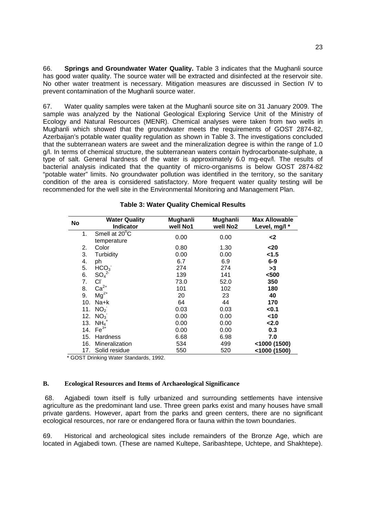66. **Springs and Groundwater Water Quality.** Table 3 indicates that the Mughanli source has good water quality. The source water will be extracted and disinfected at the reservoir site. No other water treatment is necessary. Mitigation measures are discussed in Section IV to prevent contamination of the Mughanli source water.

67. Water quality samples were taken at the Mughanli source site on 31 January 2009. The sample was analyzed by the National Geological Exploring Service Unit of the Ministry of Ecology and Natural Resources (MENR). Chemical analyses were taken from two wells in Mughanli which showed that the groundwater meets the requirements of GOST 2874-82, Azerbaijan's potable water quality regulation as shown in Table 3. The investigations concluded that the subterranean waters are sweet and the mineralization degree is within the range of 1.0 g/l. In terms of chemical structure, the subterranean waters contain hydrocarbonate-sulphate, a type of salt. General hardness of the water is approximately 6.0 mg-eqv/l. The results of bacterial analysis indicated that the quantity of micro-organisms is below GOST 2874-82 "potable water" limits. No groundwater pollution was identified in the territory, so the sanitary condition of the area is considered satisfactory. More frequent water quality testing will be recommended for the well site in the Environmental Monitoring and Management Plan.

| No  | <b>Water Quality</b><br><b>Indicator</b> | Mughanli<br>well No1 | Mughanli<br>well No <sub>2</sub> | <b>Max Allowable</b><br>Level, mg/l * |
|-----|------------------------------------------|----------------------|----------------------------------|---------------------------------------|
| 1.  | Smell at 20°C<br>temperature             | 0.00                 | 0.00                             | <2                                    |
| 2.  | Color                                    | 0.80                 | 1.30                             | <20                                   |
| 3.  | Turbidity                                | 0.00                 | 0.00                             | < 1.5                                 |
| 4.  | ph                                       | 6.7                  | 6.9                              | $6-9$                                 |
| 5.  | HCO <sub>3</sub>                         | 274                  | 274                              | >3                                    |
| 6.  | SO <sub>4</sub> <sup>2</sup>             | 139                  | 141                              | $500$                                 |
| 7.  | Сľ                                       | 73.0                 | 52.0                             | 350                                   |
| 8.  | $Ca2+$                                   | 101                  | 102                              | 180                                   |
| 9.  | $Mg^{2+}$                                | 20                   | 23                               | 40                                    |
| 10. | Na+k                                     | 64                   | 44                               | 170                                   |
| 11. | NO <sub>2</sub>                          | 0.03                 | 0.03                             | $0.1$                                 |
| 12. | NO <sub>3</sub>                          | 0.00                 | 0.00                             | $<$ 10                                |
| 13. | $NH4+$                                   | 0.00                 | 0.00                             | < 2.0                                 |
| 14. | $Fe3+$                                   | 0.00                 | 0.00                             | 0.3                                   |
| 15. | Hardness                                 | 6.68                 | 6.98                             | 7.0                                   |
| 16. | Mineralization                           | 534                  | 499                              | $<$ 1000 (1500)                       |
| 17. | Solid residue                            | 550                  | 520                              | <1000 (1500)                          |

|  |  |  | <b>Table 3: Water Quality Chemical Results</b> |  |
|--|--|--|------------------------------------------------|--|
|--|--|--|------------------------------------------------|--|

\* GOST Drinking Water Standards, 1992.

#### **B. Ecological Resources and Items of Archaeological Significance**

 68. Agjabedi town itself is fully urbanized and surrounding settlements have intensive agriculture as the predominant land use. Three green parks exist and many houses have small private gardens. However, apart from the parks and green centers, there are no significant ecological resources, nor rare or endangered flora or fauna within the town boundaries.

69. Historical and archeological sites include remainders of the Bronze Age, which are located in Agjabedi town. (These are named Kultepe, Saribashtepe, Uchtepe, and Shakhtepe).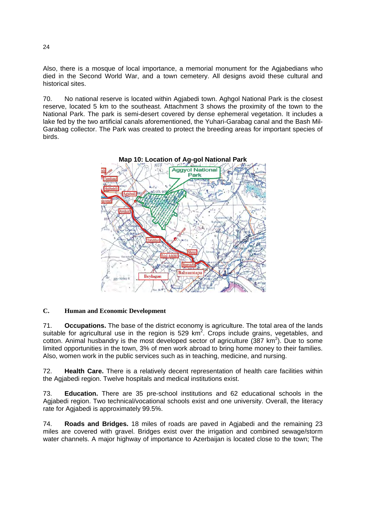Also, there is a mosque of local importance, a memorial monument for the Agjabedians who died in the Second World War, and a town cemetery. All designs avoid these cultural and historical sites.

70. No national reserve is located within Agjabedi town. Aghgol National Park is the closest reserve, located 5 km to the southeast. Attachment 3 shows the proximity of the town to the National Park. The park is semi-desert covered by dense ephemeral vegetation. It includes a lake fed by the two artificial canals aforementioned, the Yuhari-Garabag canal and the Bash Mil-Garabag collector. The Park was created to protect the breeding areas for important species of birds.



#### **C. Human and Economic Development**

71. **Occupations.** The base of the district economy is agriculture. The total area of the lands suitable for agricultural use in the region is 529  $km^2$ . Crops include grains, vegetables, and cotton. Animal husbandry is the most developed sector of agriculture  $(387 \text{ km}^2)$ . Due to some limited opportunities in the town, 3% of men work abroad to bring home money to their families. Also, women work in the public services such as in teaching, medicine, and nursing.

72. **Health Care.** There is a relatively decent representation of health care facilities within the Agjabedi region. Twelve hospitals and medical institutions exist.

73. **Education.** There are 35 pre-school institutions and 62 educational schools in the Agiabedi region. Two technical/vocational schools exist and one university. Overall, the literacy rate for Agjabedi is approximately 99.5%.

74. **Roads and Bridges.** 18 miles of roads are paved in Agjabedi and the remaining 23 miles are covered with gravel. Bridges exist over the irrigation and combined sewage/storm water channels. A major highway of importance to Azerbaijan is located close to the town; The

24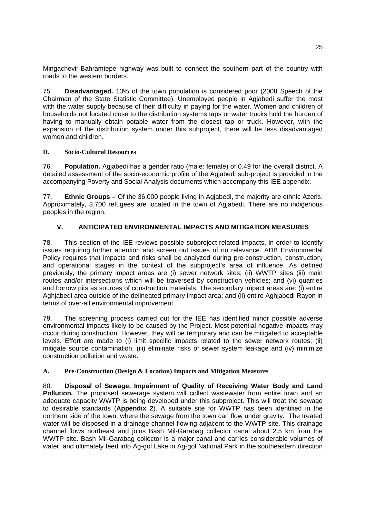Mingachevir-Bahramtepe highway was built to connect the southern part of the country with roads to the western borders.

75. **Disadvantaged.** 13% of the town population is considered poor (2008 Speech of the Chairman of the State Statistic Committee). Unemployed people in Agjabedi suffer the most with the water supply because of their difficulty in paying for the water. Women and children of households not located close to the distribution systems taps or water trucks hold the burden of having to manually obtain potable water from the closest tap or truck. However, with the expansion of the distribution system under this subproject, there will be less disadvantaged women and children.

#### **D. Socio-Cultural Resources**

76. **Population.** Agjabedi has a gender ratio (male: female) of 0.49 for the overall district. A detailed assessment of the socio-economic profile of the Agiabedi sub-project is provided in the accompanying Poverty and Social Analysis documents which accompany this IEE appendix.

77. **Ethnic Groups –** Of the 36,000 people living in Agjabedi, the majority are ethnic Azeris. Approximately, 3,700 refugees are located in the town of Agjabedi. There are no indigenous peoples in the region.

## **V. ANTICIPATED ENVIRONMENTAL IMPACTS AND MITIGATION MEASURES**

78. This section of the IEE reviews possible subproject-related impacts, in order to identify issues requiring further attention and screen out issues of no relevance. ADB Environmental Policy requires that impacts and risks shall be analyzed during pre-construction, construction, and operational stages in the context of the subproject's area of influence. As defined previously, the primary impact areas are (i) sewer network sites; (ii) WWTP sites (iii) main routes and/or intersections which will be traversed by construction vehicles; and (vi) quarries and borrow pits as sources of construction materials. The secondary impact areas are: (i) entire Aghjabedi area outside of the delineated primary impact area; and (ii) entire Aghjabedi Rayon in terms of over-all environmental improvement.

79. The screening process carried out for the IEE has identified minor possible adverse environmental impacts likely to be caused by the Project. Most potential negative impacts may occur during construction. However, they will be temporary and can be mitigated to acceptable levels. Effort are made to (i) limit specific impacts related to the sewer network routes; (ii) mitigate source contamination, (iii) eliminate risks of sewer system leakage and (iv) minimize construction pollution and waste.

#### **A. Pre-Construction (Design & Location) Impacts and Mitigation Measures**

80. **Disposal of Sewage, Impairment of Quality of Receiving Water Body and Land Pollution.** The proposed sewerage system will collect wastewater from entire town and an adequate capacity WWTP is being developed under this subproject. This will treat the sewage to desirable standards (**Appendix 2**). A suitable site for WWTP has been identified in the northern side of the town, where the sewage from the town can flow under gravity. The treated water will be disposed in a drainage channel flowing adjacent to the WWTP site. This drainage channel flows northeast and joins Bash Mil-Garabag collector canal about 2.5 km from the WWTP site. Bash Mil-Garabag collector is a major canal and carries considerable volumes of water, and ultimately feed into Ag-gol Lake in Ag-gol National Park in the southeastern direction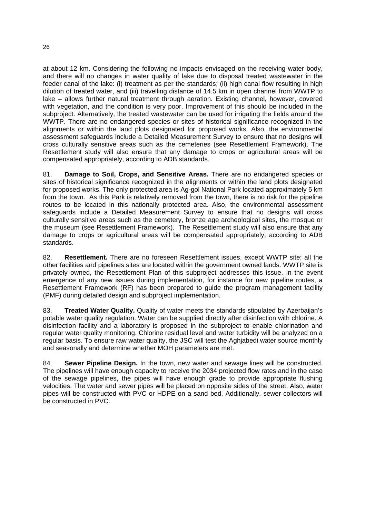at about 12 km. Considering the following no impacts envisaged on the receiving water body, and there will no changes in water quality of lake due to disposal treated wastewater in the feeder canal of the lake: (i) treatment as per the standards; (ii) high canal flow resulting in high dilution of treated water, and (iii) travelling distance of 14.5 km in open channel from WWTP to lake – allows further natural treatment through aeration. Existing channel, however, covered with vegetation, and the condition is very poor. Improvement of this should be included in the subproject. Alternatively, the treated wastewater can be used for irrigating the fields around the WWTP. There are no endangered species or sites of historical significance recognized in the alignments or within the land plots designated for proposed works. Also, the environmental assessment safeguards include a Detailed Measurement Survey to ensure that no designs will cross culturally sensitive areas such as the cemeteries (see Resettlement Framework). The Resettlement study will also ensure that any damage to crops or agricultural areas will be compensated appropriately, according to ADB standards.

81. **Damage to Soil, Crops, and Sensitive Areas.** There are no endangered species or sites of historical significance recognized in the alignments or within the land plots designated for proposed works. The only protected area is Ag-gol National Park located approximately 5 km from the town. As this Park is relatively removed from the town, there is no risk for the pipeline routes to be located in this nationally protected area. Also, the environmental assessment safeguards include a Detailed Measurement Survey to ensure that no designs will cross culturally sensitive areas such as the cemetery, bronze age archeological sites, the mosque or the museum (see Resettlement Framework). The Resettlement study will also ensure that any damage to crops or agricultural areas will be compensated appropriately, according to ADB standards.

82. **Resettlement.** There are no foreseen Resettlement issues, except WWTP site; all the other facilities and pipelines sites are located within the government owned lands. WWTP site is privately owned, the Resettlement Plan of this subproject addresses this issue. In the event emergence of any new issues during implementation, for instance for new pipeline routes, a Resettlement Framework (RF) has been prepared to guide the program management facility (PMF) during detailed design and subproject implementation.

83. **Treated Water Quality.** Quality of water meets the standards stipulated by Azerbaijan's potable water quality regulation. Water can be supplied directly after disinfection with chlorine. A disinfection facility and a laboratory is proposed in the subproject to enable chlorination and regular water quality monitoring. Chlorine residual level and water turbidity will be analyzed on a regular basis. To ensure raw water quality, the JSC will test the Aghjabedi water source monthly and seasonally and determine whether MOH parameters are met.

84. **Sewer Pipeline Design.** In the town, new water and sewage lines will be constructed. The pipelines will have enough capacity to receive the 2034 projected flow rates and in the case of the sewage pipelines, the pipes will have enough grade to provide appropriate flushing velocities. The water and sewer pipes will be placed on opposite sides of the street. Also, water pipes will be constructed with PVC or HDPE on a sand bed. Additionally, sewer collectors will be constructed in PVC.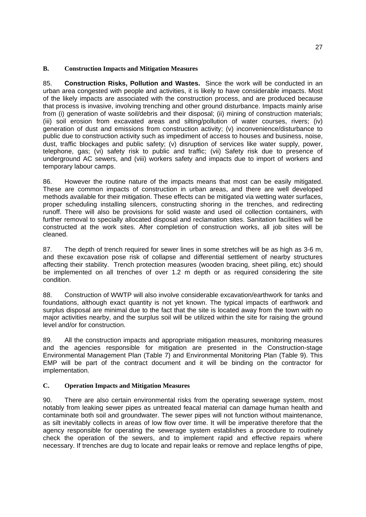#### **B. Construction Impacts and Mitigation Measures**

85. **Construction Risks, Pollution and Wastes.** Since the work will be conducted in an urban area congested with people and activities, it is likely to have considerable impacts. Most of the likely impacts are associated with the construction process, and are produced because that process is invasive, involving trenching and other ground disturbance. Impacts mainly arise from (i) generation of waste soil/debris and their disposal; (ii) mining of construction materials; (iii) soil erosion from excavated areas and silting/pollution of water courses, rivers; (iv) generation of dust and emissions from construction activity; (v) inconvenience/disturbance to public due to construction activity such as impediment of access to houses and business, noise, dust, traffic blockages and public safety; (v) disruption of services like water supply, power, telephone, gas; (vi) safety risk to public and traffic; (vii) Safety risk due to presence of underground AC sewers, and (viii) workers safety and impacts due to import of workers and temporary labour camps.

86. However the routine nature of the impacts means that most can be easily mitigated. These are common impacts of construction in urban areas, and there are well developed methods available for their mitigation. These effects can be mitigated via wetting water surfaces, proper scheduling installing silencers, constructing shoring in the trenches, and redirecting runoff. There will also be provisions for solid waste and used oil collection containers, with further removal to specially allocated disposal and reclamation sites. Sanitation facilities will be constructed at the work sites. After completion of construction works, all job sites will be cleaned.

87. The depth of trench required for sewer lines in some stretches will be as high as 3-6 m, and these excavation pose risk of collapse and differential settlement of nearby structures affecting their stability. Trench protection measures (wooden bracing, sheet piling, etc) should be implemented on all trenches of over 1.2 m depth or as required considering the site condition.

88. Construction of WWTP will also involve considerable excavation/earthwork for tanks and foundations, although exact quantity is not yet known. The typical impacts of earthwork and surplus disposal are minimal due to the fact that the site is located away from the town with no major activities nearby, and the surplus soil will be utilized within the site for raising the ground level and/or for construction.

89. All the construction impacts and appropriate mitigation measures, monitoring measures and the agencies responsible for mitigation are presented in the Construction-stage Environmental Management Plan (Table 7) and Environmental Monitoring Plan (Table 9). This EMP will be part of the contract document and it will be binding on the contractor for implementation.

#### **C. Operation Impacts and Mitigation Measures**

90. There are also certain environmental risks from the operating sewerage system, most notably from leaking sewer pipes as untreated feacal material can damage human health and contaminate both soil and groundwater. The sewer pipes will not function without maintenance, as silt inevitably collects in areas of low flow over time. It will be imperative therefore that the agency responsible for operating the sewerage system establishes a procedure to routinely check the operation of the sewers, and to implement rapid and effective repairs where necessary. If trenches are dug to locate and repair leaks or remove and replace lengths of pipe,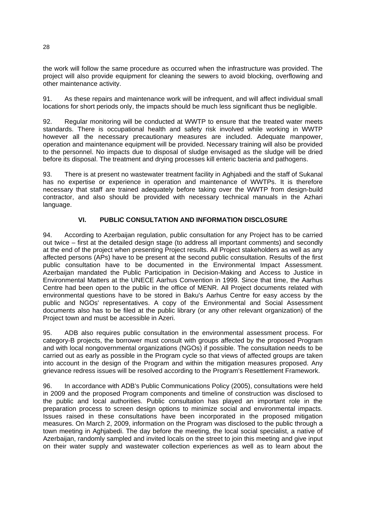the work will follow the same procedure as occurred when the infrastructure was provided. The project will also provide equipment for cleaning the sewers to avoid blocking, overflowing and other maintenance activity.

91. As these repairs and maintenance work will be infrequent, and will affect individual small locations for short periods only, the impacts should be much less significant thus be negligible.

92. Regular monitoring will be conducted at WWTP to ensure that the treated water meets standards. There is occupational health and safety risk involved while working in WWTP however all the necessary precautionary measures are included. Adequate manpower, operation and maintenance equipment will be provided. Necessary training will also be provided to the personnel. No impacts due to disposal of sludge envisaged as the sludge will be dried before its disposal. The treatment and drying processes kill enteric bacteria and pathogens.

93. There is at present no wastewater treatment facility in Aghjabedi and the staff of Sukanal has no expertise or experience in operation and maintenance of WWTPs. It is therefore necessary that staff are trained adequately before taking over the WWTP from design-build contractor, and also should be provided with necessary technical manuals in the Azhari language.

### **VI. PUBLIC CONSULTATION AND INFORMATION DISCLOSURE**

94. According to Azerbaijan regulation, public consultation for any Project has to be carried out twice – first at the detailed design stage (to address all important comments) and secondly at the end of the project when presenting Project results. All Project stakeholders as well as any affected persons (APs) have to be present at the second public consultation. Results of the first public consultation have to be documented in the Environmental Impact Assessment. Azerbaijan mandated the Public Participation in Decision-Making and Access to Justice in Environmental Matters at the UNECE Aarhus Convention in 1999. Since that time, the Aarhus Centre had been open to the public in the office of MENR. All Project documents related with environmental questions have to be stored in Baku's Aarhus Centre for easy access by the public and NGOs' representatives. A copy of the Environmental and Social Assessment documents also has to be filed at the public library (or any other relevant organization) of the Project town and must be accessible in Azeri.

95. ADB also requires public consultation in the environmental assessment process. For category-B projects, the borrower must consult with groups affected by the proposed Program and with local nongovernmental organizations (NGOs) if possible. The consultation needs to be carried out as early as possible in the Program cycle so that views of affected groups are taken into account in the design of the Program and within the mitigation measures proposed. Any grievance redress issues will be resolved according to the Program's Resettlement Framework.

96. In accordance with ADB's Public Communications Policy (2005), consultations were held in 2009 and the proposed Program components and timeline of construction was disclosed to the public and local authorities. Public consultation has played an important role in the preparation process to screen design options to minimize social and environmental impacts. Issues raised in these consultations have been incorporated in the proposed mitigation measures. On March 2, 2009, information on the Program was disclosed to the public through a town meeting in Aghjabedi. The day before the meeting, the local social specialist, a native of Azerbaijan, randomly sampled and invited locals on the street to join this meeting and give input on their water supply and wastewater collection experiences as well as to learn about the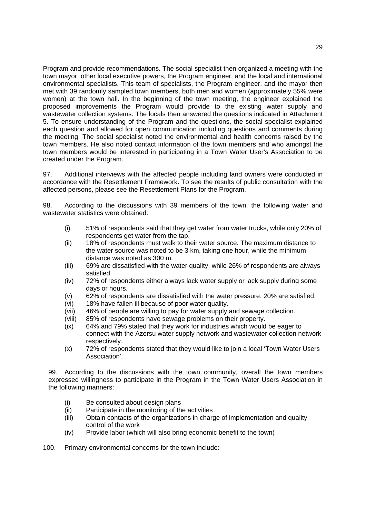Program and provide recommendations. The social specialist then organized a meeting with the town mayor, other local executive powers, the Program engineer, and the local and international environmental specialists. This team of specialists, the Program engineer, and the mayor then met with 39 randomly sampled town members, both men and women (approximately 55% were women) at the town hall. In the beginning of the town meeting, the engineer explained the proposed improvements the Program would provide to the existing water supply and wastewater collection systems. The locals then answered the questions indicated in Attachment 5. To ensure understanding of the Program and the questions, the social specialist explained each question and allowed for open communication including questions and comments during the meeting. The social specialist noted the environmental and health concerns raised by the town members. He also noted contact information of the town members and who amongst the town members would be interested in participating in a Town Water User's Association to be created under the Program.

97. Additional interviews with the affected people including land owners were conducted in accordance with the Resettlement Framework. To see the results of public consultation with the affected persons, please see the Resettlement Plans for the Program.

98. According to the discussions with 39 members of the town, the following water and wastewater statistics were obtained:

- (i) 51% of respondents said that they get water from water trucks, while only 20% of respondents get water from the tap.
- (ii) 18% of respondents must walk to their water source. The maximum distance to the water source was noted to be 3 km, taking one hour, while the minimum distance was noted as 300 m.
- (iii) 69% are dissatisfied with the water quality, while 26% of respondents are always satisfied.
- (iv) 72% of respondents either always lack water supply or lack supply during some days or hours.
- (v) 62% of respondents are dissatisfied with the water pressure. 20% are satisfied.
- (vi) 18% have fallen ill because of poor water quality.
- (vii) 46% of people are willing to pay for water supply and sewage collection.
- (viii) 85% of respondents have sewage problems on their property.
- (ix) 64% and 79% stated that they work for industries which would be eager to connect with the Azersu water supply network and wastewater collection network respectively.
- (x) 72% of respondents stated that they would like to join a local 'Town Water Users Association'.

99. According to the discussions with the town community, overall the town members expressed willingness to participate in the Program in the Town Water Users Association in the following manners:

- (i) Be consulted about design plans
- (ii) Participate in the monitoring of the activities
- (iii) Obtain contacts of the organizations in charge of implementation and quality control of the work
- (iv) Provide labor (which will also bring economic benefit to the town)
- 100. Primary environmental concerns for the town include: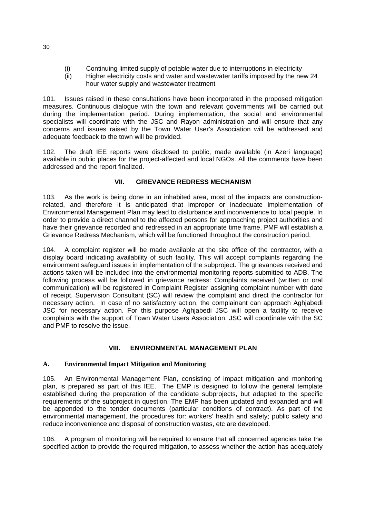- (i) Continuing limited supply of potable water due to interruptions in electricity
- (ii) Higher electricity costs and water and wastewater tariffs imposed by the new 24 hour water supply and wastewater treatment

101. Issues raised in these consultations have been incorporated in the proposed mitigation measures. Continuous dialogue with the town and relevant governments will be carried out during the implementation period. During implementation, the social and environmental specialists will coordinate with the JSC and Rayon administration and will ensure that any concerns and issues raised by the Town Water User's Association will be addressed and adequate feedback to the town will be provided.

102. The draft IEE reports were disclosed to public, made available (in Azeri language) available in public places for the project-affected and local NGOs. All the comments have been addressed and the report finalized.

## **VII. GRIEVANCE REDRESS MECHANISM**

103. As the work is being done in an inhabited area, most of the impacts are constructionrelated, and therefore it is anticipated that improper or inadequate implementation of Environmental Management Plan may lead to disturbance and inconvenience to local people. In order to provide a direct channel to the affected persons for approaching project authorities and have their grievance recorded and redressed in an appropriate time frame, PMF will establish a Grievance Redress Mechanism, which will be functioned throughout the construction period.

104. A complaint register will be made available at the site office of the contractor, with a display board indicating availability of such facility. This will accept complaints regarding the environment safeguard issues in implementation of the subproject. The grievances received and actions taken will be included into the environmental monitoring reports submitted to ADB. The following process will be followed in grievance redress: Complaints received (written or oral communication) will be registered in Complaint Register assigning complaint number with date of receipt. Supervision Consultant (SC) will review the complaint and direct the contractor for necessary action. In case of no satisfactory action, the complainant can approach Aghjabedi JSC for necessary action. For this purpose Aghjabedi JSC will open a facility to receive complaints with the support of Town Water Users Association. JSC will coordinate with the SC and PMF to resolve the issue.

#### **VIII. ENVIRONMENTAL MANAGEMENT PLAN**

#### **A. Environmental Impact Mitigation and Monitoring**

105. An Environmental Management Plan, consisting of impact mitigation and monitoring plan, is prepared as part of this IEE. The EMP is designed to follow the general template established during the preparation of the candidate subprojects, but adapted to the specific requirements of the subproject in question. The EMP has been updated and expanded and will be appended to the tender documents (particular conditions of contract). As part of the environmental management, the procedures for: workers' health and safety; public safety and reduce inconvenience and disposal of construction wastes, etc are developed.

106. A program of monitoring will be required to ensure that all concerned agencies take the specified action to provide the required mitigation, to assess whether the action has adequately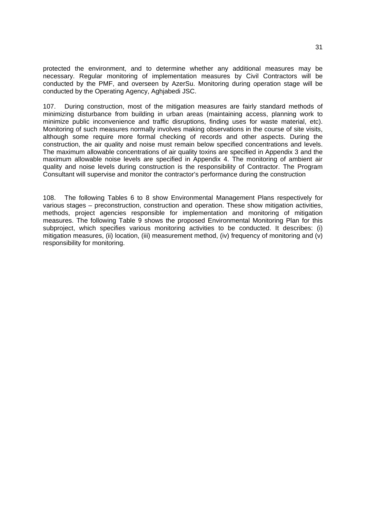protected the environment, and to determine whether any additional measures may be necessary. Regular monitoring of implementation measures by Civil Contractors will be conducted by the PMF, and overseen by AzerSu. Monitoring during operation stage will be conducted by the Operating Agency, Aghjabedi JSC.

107. During construction, most of the mitigation measures are fairly standard methods of minimizing disturbance from building in urban areas (maintaining access, planning work to minimize public inconvenience and traffic disruptions, finding uses for waste material, etc). Monitoring of such measures normally involves making observations in the course of site visits, although some require more formal checking of records and other aspects. During the construction, the air quality and noise must remain below specified concentrations and levels. The maximum allowable concentrations of air quality toxins are specified in Appendix 3 and the maximum allowable noise levels are specified in Appendix 4. The monitoring of ambient air quality and noise levels during construction is the responsibility of Contractor. The Program Consultant will supervise and monitor the contractor's performance during the construction

108. The following Tables 6 to 8 show Environmental Management Plans respectively for various stages – preconstruction, construction and operation. These show mitigation activities, methods, project agencies responsible for implementation and monitoring of mitigation measures. The following Table 9 shows the proposed Environmental Monitoring Plan for this subproject, which specifies various monitoring activities to be conducted. It describes: (i) mitigation measures, (ii) location, (iii) measurement method, (iv) frequency of monitoring and (v) responsibility for monitoring.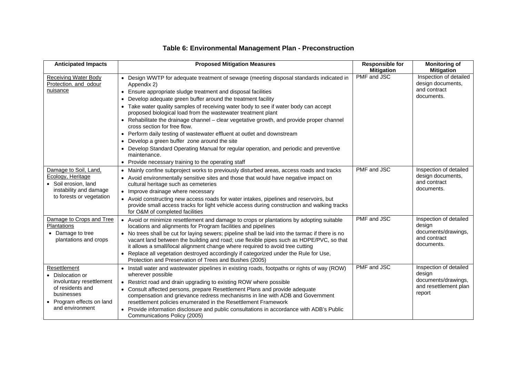| <b>Anticipated Impacts</b>                                                                                                                 | <b>Proposed Mitigation Measures</b>                                                                                                                                                                                                                                                                                                                                                                                                                                                                                                                                                                                                                                                                                                                                                                                       | <b>Responsible for</b><br><b>Mitigation</b> | <b>Monitoring of</b><br><b>Mitigation</b>                                                  |
|--------------------------------------------------------------------------------------------------------------------------------------------|---------------------------------------------------------------------------------------------------------------------------------------------------------------------------------------------------------------------------------------------------------------------------------------------------------------------------------------------------------------------------------------------------------------------------------------------------------------------------------------------------------------------------------------------------------------------------------------------------------------------------------------------------------------------------------------------------------------------------------------------------------------------------------------------------------------------------|---------------------------------------------|--------------------------------------------------------------------------------------------|
| <b>Receiving Water Body</b><br>Protection. and odour<br>nuisance                                                                           | • Design WWTP for adequate treatment of sewage (meeting disposal standards indicated in<br>Appendix 2)<br>• Ensure appropriate sludge treatment and disposal facilities<br>Develop adequate green buffer around the treatment facility<br>$\bullet$<br>Take water quality samples of receiving water body to see if water body can accept<br>proposed biological load from the wastewater treatment plant<br>Rehabilitate the drainage channel - clear vegetative growth, and provide proper channel<br>cross section for free flow.<br>Perform daily testing of wastewater effluent at outlet and downstream<br>Develop a green buffer zone around the site<br>Develop Standard Operating Manual for regular operation, and periodic and preventive<br>maintenance.<br>Provide necessary training to the operating staff | PMF and JSC                                 | Inspection of detailed<br>design documents,<br>and contract<br>documents.                  |
| Damage to Soil, Land,<br>Ecology, Heritage<br>Soil erosion, land<br>instability and damage<br>to forests or vegetation                     | Mainly confine subproject works to previously disturbed areas, access roads and tracks<br>$\bullet$<br>• Avoid environmentally sensitive sites and those that would have negative impact on<br>cultural heritage such as cemeteries<br>• Improve drainage where necessary<br>• Avoid constructing new access roads for water intakes, pipelines and reservoirs, but<br>provide small access tracks for light vehicle access during construction and walking tracks<br>for O&M of completed facilities                                                                                                                                                                                                                                                                                                                     | PMF and JSC                                 | Inspection of detailed<br>design documents,<br>and contract<br>documents.                  |
| Damage to Crops and Tree<br>Plantations<br>• Damage to tree<br>plantations and crops                                                       | • Avoid or minimize resettlement and damage to crops or plantations by adopting suitable<br>locations and alignments for Program facilities and pipelines<br>• No trees shall be cut for laying sewers; pipeline shall be laid into the tarmac if there is no<br>vacant land between the building and road; use flexible pipes such as HDPE/PVC, so that<br>it allows a small/local alignment change where required to avoid tree cutting<br>Replace all vegetation destroyed accordingly if categorized under the Rule for Use,<br>$\bullet$<br>Protection and Preservation of Trees and Bushes (2005)                                                                                                                                                                                                                   | PMF and JSC                                 | Inspection of detailed<br>design<br>documents/drawings,<br>and contract<br>documents.      |
| Resettlement<br>Dislocation or<br>involuntary resettlement<br>of residents and<br>businesses<br>Program effects on land<br>and environment | • Install water and wastewater pipelines in existing roads, footpaths or rights of way (ROW)<br>wherever possible<br>• Restrict road and drain upgrading to existing ROW where possible<br>• Consult affected persons, prepare Resettlement Plans and provide adequate<br>compensation and grievance redress mechanisms in line with ADB and Government<br>resettlement policies enumerated in the Resettlement Framework<br>Provide information disclosure and public consultations in accordance with ADB's Public<br>Communications Policy (2005)                                                                                                                                                                                                                                                                      | PMF and JSC                                 | Inspection of detailed<br>design<br>documents/drawings,<br>and resettlement plan<br>report |

# **Table 6: Environmental Management Plan - Preconstruction**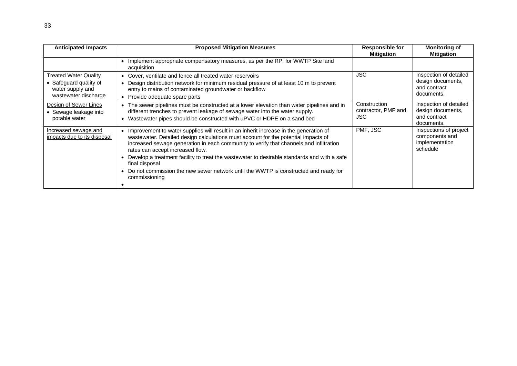| <b>Anticipated Impacts</b>                                                                         | <b>Proposed Mitigation Measures</b>                                                                                                                                                                                                                                                                                                                                                                                                                                                                                                    | <b>Responsible for</b><br><b>Mitigation</b>       | <b>Monitoring of</b><br><b>Mitigation</b>                                 |
|----------------------------------------------------------------------------------------------------|----------------------------------------------------------------------------------------------------------------------------------------------------------------------------------------------------------------------------------------------------------------------------------------------------------------------------------------------------------------------------------------------------------------------------------------------------------------------------------------------------------------------------------------|---------------------------------------------------|---------------------------------------------------------------------------|
|                                                                                                    | • Implement appropriate compensatory measures, as per the RP, for WWTP Site land<br>acquisition                                                                                                                                                                                                                                                                                                                                                                                                                                        |                                                   |                                                                           |
| <b>Treated Water Quality</b><br>• Safeguard quality of<br>water supply and<br>wastewater discharge | • Cover, ventilate and fence all treated water reservoirs<br>• Design distribution network for minimum residual pressure of at least 10 m to prevent<br>entry to mains of contaminated groundwater or backflow<br>• Provide adequate spare parts                                                                                                                                                                                                                                                                                       | <b>JSC</b>                                        | Inspection of detailed<br>design documents,<br>and contract<br>documents. |
| Design of Sewer Lines<br>• Sewage leakage into<br>potable water                                    | • The sewer pipelines must be constructed at a lower elevation than water pipelines and in<br>different trenches to prevent leakage of sewage water into the water supply.<br>• Wastewater pipes should be constructed with uPVC or HDPE on a sand bed                                                                                                                                                                                                                                                                                 | Construction<br>contractor, PMF and<br><b>JSC</b> | Inspection of detailed<br>design documents,<br>and contract<br>documents. |
| Increased sewage and<br>impacts due to its disposal                                                | • Improvement to water supplies will result in an inherit increase in the generation of<br>wastewater. Detailed design calculations must account for the potential impacts of<br>increased sewage generation in each community to verify that channels and infiltration<br>rates can accept increased flow.<br>Develop a treatment facility to treat the wastewater to desirable standards and with a safe<br>final disposal<br>• Do not commission the new sewer network until the WWTP is constructed and ready for<br>commissioning | PMF, JSC                                          | Inspections of project<br>components and<br>implementation<br>schedule    |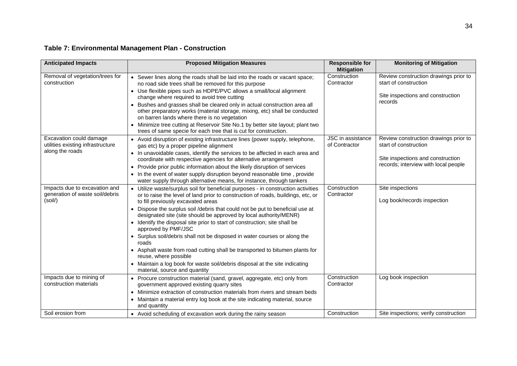# **Table 7: Environmental Management Plan - Construction**

| <b>Anticipated Impacts</b>                                                  | <b>Proposed Mitigation Measures</b>                                                                                                                                                                         | <b>Responsible for</b><br><b>Mitigation</b> | <b>Monitoring of Mitigation</b>                                |
|-----------------------------------------------------------------------------|-------------------------------------------------------------------------------------------------------------------------------------------------------------------------------------------------------------|---------------------------------------------|----------------------------------------------------------------|
| Removal of vegetation/trees for<br>construction                             | • Sewer lines along the roads shall be laid into the roads or vacant space;<br>no road side trees shall be removed for this purpose                                                                         | Construction<br>Contractor                  | Review construction drawings prior to<br>start of construction |
|                                                                             | • Use flexible pipes such as HDPE/PVC allows a small/local alignment<br>change where required to avoid tree cutting                                                                                         |                                             | Site inspections and construction<br>records                   |
|                                                                             | • Bushes and grasses shall be cleared only in actual construction area all<br>other preparatory works (material storage, mixing, etc) shall be conducted<br>on barren lands where there is no vegetation    |                                             |                                                                |
|                                                                             | • Minimize tree cutting at Reservoir Site No.1 by better site layout; plant two<br>trees of same specie for each tree that is cut for construction.                                                         |                                             |                                                                |
| Excavation could damage<br>utilities existing infrastructure                | • Avoid disruption of existing infrastructure lines (power supply, telephone,<br>gas etc) by a proper pipeline alignment                                                                                    | <b>JSC</b> in assistance<br>of Contractor   | Review construction drawings prior to<br>start of construction |
| along the roads                                                             | • In unavoidable cases, identify the services to be affected in each area and<br>coordinate with respective agencies for alternative arrangement                                                            |                                             | Site inspections and construction                              |
|                                                                             | • Provide prior public information about the likely disruption of services                                                                                                                                  |                                             | records; interview with local people                           |
|                                                                             | • In the event of water supply disruption beyond reasonable time, provide<br>water supply through alternative means, for instance, through tankers                                                          |                                             |                                                                |
| Impacts due to excavation and<br>generation of waste soil/debris<br>(soil/) | • Utilize waste/surplus soil for beneficial purposes - in construction activities<br>or to raise the level of land prior to construction of roads, buildings, etc, or<br>to fill previously excavated areas | Construction<br>Contractor                  | Site inspections<br>Log book/records inspection                |
|                                                                             | • Dispose the surplus soil /debris that could not be put to beneficial use at<br>designated site (site should be approved by local authority/MENR)                                                          |                                             |                                                                |
|                                                                             | • Identify the disposal site prior to start of construction; site shall be<br>approved by PMF/JSC                                                                                                           |                                             |                                                                |
|                                                                             | • Surplus soil/debris shall not be disposed in water courses or along the<br>roads                                                                                                                          |                                             |                                                                |
|                                                                             | • Asphalt waste from road cutting shall be transported to bitumen plants for<br>reuse, where possible                                                                                                       |                                             |                                                                |
|                                                                             | • Maintain a log book for waste soil/debris disposal at the site indicating<br>material, source and quantity                                                                                                |                                             |                                                                |
| Impacts due to mining of<br>construction materials                          | • Procure construction material (sand, gravel, aggregate, etc) only from<br>government approved existing quarry sites                                                                                       | Construction<br>Contractor                  | Log book inspection                                            |
|                                                                             | • Minimize extraction of construction materials from rivers and stream beds                                                                                                                                 |                                             |                                                                |
|                                                                             | • Maintain a material entry log book at the site indicating material, source<br>and quantity                                                                                                                |                                             |                                                                |
| Soil erosion from                                                           | • Avoid scheduling of excavation work during the rainy season                                                                                                                                               | Construction                                | Site inspections; verify construction                          |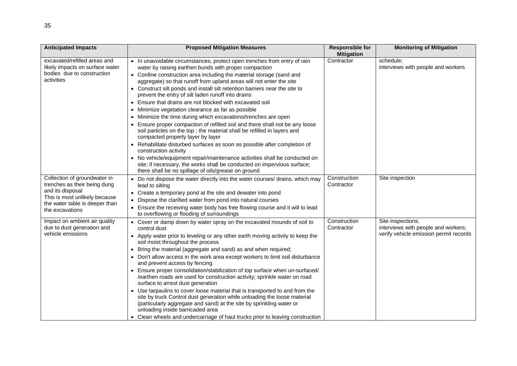| <b>Anticipated Impacts</b>                                                                                                                                             | <b>Proposed Mitigation Measures</b>                                                                                                                                                                                                                                                                                                                                                                                                                                                                                                                                                                                                                                                                                                                                                                                                                                                                                                                                                                                                                                                                                          | <b>Responsible for</b><br><b>Mitigation</b> | <b>Monitoring of Mitigation</b>                                                                    |
|------------------------------------------------------------------------------------------------------------------------------------------------------------------------|------------------------------------------------------------------------------------------------------------------------------------------------------------------------------------------------------------------------------------------------------------------------------------------------------------------------------------------------------------------------------------------------------------------------------------------------------------------------------------------------------------------------------------------------------------------------------------------------------------------------------------------------------------------------------------------------------------------------------------------------------------------------------------------------------------------------------------------------------------------------------------------------------------------------------------------------------------------------------------------------------------------------------------------------------------------------------------------------------------------------------|---------------------------------------------|----------------------------------------------------------------------------------------------------|
| excavated/refilled areas and<br>likely impacts on surface water<br>bodies due to construction<br>activities                                                            | • In unavoidable circumstances, protect open trenches from entry of rain<br>water by raising earthen bunds with proper compaction<br>• Confine construction area including the material storage (sand and<br>aggregate) so that runoff from upland areas will not enter the site<br>• Construct silt ponds and install silt retention barriers near the site to<br>prevent the entry of silt laden runoff into drains<br>Ensure that drains are not blocked with excavated soil<br>• Minimize vegetation clearance as far as possible<br>Minimize the time during which excavations/trenches are open<br>• Ensure proper compaction of refilled soil and there shall not be any loose<br>soil particles on the top ; the material shall be refilled in layers and<br>compacted properly layer by layer<br>• Rehabilitate disturbed surfaces as soon as possible after completion of<br>construction activity<br>• No vehicle/equipment repair/maintenance activities shall be conducted on<br>site; if necessary, the works shall be conducted on impervious surface;<br>there shall be no spillage of oils/grease on ground | Contractor                                  | schedule;<br>interviews with people and workers                                                    |
| Collection of groundwater in<br>trenches as their being dung<br>and its disposal<br>This is most unlikely because<br>the water table is deeper than<br>the excavations | • Do not dispose the water directly into the water courses/ drains, which may<br>lead to silting<br>• Create a temporary pond at the site and dewater into pond<br>Dispose the clarified water from pond into natural courses<br>• Ensure the receiving water body has free flowing course and it will to lead<br>to overflowing or flooding of surroundings                                                                                                                                                                                                                                                                                                                                                                                                                                                                                                                                                                                                                                                                                                                                                                 | Construction<br>Contractor                  | Site inspection                                                                                    |
| Impact on ambient air quality<br>due to dust generation and<br>vehicle emissions                                                                                       | • Cover or damp down by water spray on the excavated mounds of soil to<br>control dust<br>• Apply water prior to leveling or any other earth moving activity to keep the<br>soil moist throughout the process<br>• Bring the material (aggregate and sand) as and when required;<br>• Don't allow access in the work area except workers to limit soil disturbance<br>and prevent access by fencing<br>• Ensure proper consolidation/stabilization of top surface when un-surfaced/<br>/earthen roads are used for construction activity; sprinkle water on road<br>surface to arrest dust generation<br>• Use tarpaulins to cover loose material that is transported to and from the<br>site by truck Control dust generation while unloading the loose material<br>(particularly aggregate and sand) at the site by sprinkling water or<br>unloading inside barricaded area<br>• Clean wheels and undercarriage of haul trucks prior to leaving construction                                                                                                                                                               | Construction<br>Contractor                  | Site inspections;<br>interviews with people and workers;<br>verify vehicle emission permit records |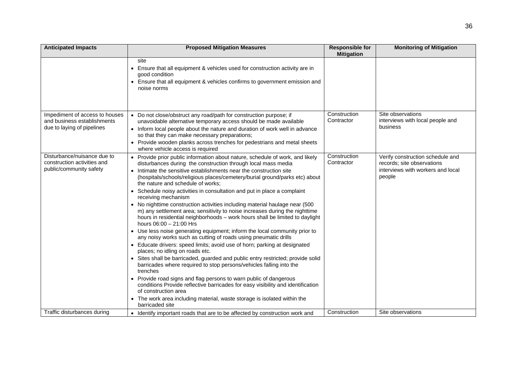| <b>Anticipated Impacts</b>                                                                  | <b>Proposed Mitigation Measures</b>                                                                                                                                                                                                                                                                                                                                                                                                                                                                                                                                                                                                                                                                                                                                                                                                                                                                                                                                                                                                                                                                                                                                                                                                                                                                                                                                                                                                      | <b>Responsible for</b><br><b>Mitigation</b> | <b>Monitoring of Mitigation</b>                                                                               |
|---------------------------------------------------------------------------------------------|------------------------------------------------------------------------------------------------------------------------------------------------------------------------------------------------------------------------------------------------------------------------------------------------------------------------------------------------------------------------------------------------------------------------------------------------------------------------------------------------------------------------------------------------------------------------------------------------------------------------------------------------------------------------------------------------------------------------------------------------------------------------------------------------------------------------------------------------------------------------------------------------------------------------------------------------------------------------------------------------------------------------------------------------------------------------------------------------------------------------------------------------------------------------------------------------------------------------------------------------------------------------------------------------------------------------------------------------------------------------------------------------------------------------------------------|---------------------------------------------|---------------------------------------------------------------------------------------------------------------|
|                                                                                             | site<br>• Ensure that all equipment & vehicles used for construction activity are in<br>good condition<br>• Ensure that all equipment & vehicles confirms to government emission and<br>noise norms                                                                                                                                                                                                                                                                                                                                                                                                                                                                                                                                                                                                                                                                                                                                                                                                                                                                                                                                                                                                                                                                                                                                                                                                                                      |                                             |                                                                                                               |
| Impediment of access to houses<br>and business establishments<br>due to laying of pipelines | • Do not close/obstruct any road/path for construction purpose; if<br>unavoidable alternative temporary access should be made available<br>• Inform local people about the nature and duration of work well in advance<br>so that they can make necessary preparations;<br>• Provide wooden planks across trenches for pedestrians and metal sheets<br>where vehicle access is required                                                                                                                                                                                                                                                                                                                                                                                                                                                                                                                                                                                                                                                                                                                                                                                                                                                                                                                                                                                                                                                  | Construction<br>Contractor                  | Site observations<br>interviews with local people and<br>business                                             |
| Disturbance/nuisance due to<br>construction activities and<br>public/community safety       | • Provide prior public information about nature, schedule of work, and likely<br>disturbances during the construction through local mass media<br>Intimate the sensitive establishments near the construction site<br>(hospitals/schools/religious places/cemetery/burial ground/parks etc) about<br>the nature and schedule of works;<br>• Schedule noisy activities in consultation and put in place a complaint<br>receiving mechanism<br>• No nighttime construction activities including material haulage near (500<br>m) any settlement area; sensitivity to noise increases during the nighttime<br>hours in residential neighborhoods - work hours shall be limited to daylight<br>hours $06:00 - 21:00$ Hrs<br>• Use less noise generating equipment; inform the local community prior to<br>any noisy works such as cutting of roads using pneumatic drills<br>• Educate drivers: speed limits; avoid use of horn; parking at designated<br>places; no idling on roads etc.<br>Sites shall be barricaded, guarded and public entry restricted; provide solid<br>barricades where required to stop persons/vehicles falling into the<br>trenches<br>• Provide road signs and flag persons to warn public of dangerous<br>conditions Provide reflective barricades for easy visibility and identification<br>of construction area<br>• The work area including material, waste storage is isolated within the<br>barricaded site | Construction<br>Contractor                  | Verify construction schedule and<br>records; site observations<br>interviews with workers and local<br>people |
| Traffic disturbances during                                                                 | • Identify important roads that are to be affected by construction work and                                                                                                                                                                                                                                                                                                                                                                                                                                                                                                                                                                                                                                                                                                                                                                                                                                                                                                                                                                                                                                                                                                                                                                                                                                                                                                                                                              | Construction                                | Site observations                                                                                             |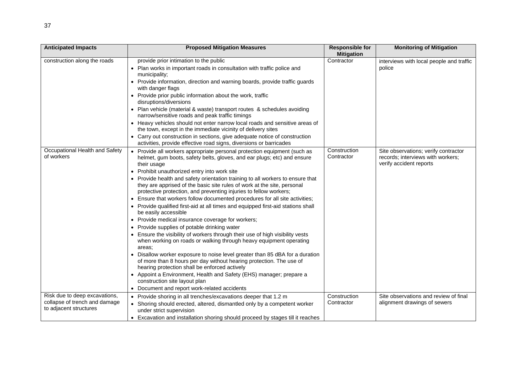| <b>Anticipated Impacts</b>                                                               | <b>Proposed Mitigation Measures</b>                                                                                                                                                                                                                                                                                                                                                                                                                                                                                                                                                                                                                                                                                                                                                                                                                                                                                                                                                                                                                                                                                                                                                                                                                                             | <b>Responsible for</b><br><b>Mitigation</b> | <b>Monitoring of Mitigation</b>                                                                      |
|------------------------------------------------------------------------------------------|---------------------------------------------------------------------------------------------------------------------------------------------------------------------------------------------------------------------------------------------------------------------------------------------------------------------------------------------------------------------------------------------------------------------------------------------------------------------------------------------------------------------------------------------------------------------------------------------------------------------------------------------------------------------------------------------------------------------------------------------------------------------------------------------------------------------------------------------------------------------------------------------------------------------------------------------------------------------------------------------------------------------------------------------------------------------------------------------------------------------------------------------------------------------------------------------------------------------------------------------------------------------------------|---------------------------------------------|------------------------------------------------------------------------------------------------------|
| construction along the roads                                                             | provide prior intimation to the public<br>• Plan works in important roads in consultation with traffic police and<br>municipality;<br>• Provide information, direction and warning boards, provide traffic guards<br>with danger flags<br>Provide prior public information about the work, traffic<br>disruptions/diversions<br>• Plan vehicle (material & waste) transport routes & schedules avoiding<br>narrow/sensitive roads and peak traffic timings<br>• Heavy vehicles should not enter narrow local roads and sensitive areas of<br>the town, except in the immediate vicinity of delivery sites<br>• Carry out construction in sections, give adequate notice of construction<br>activities, provide effective road signs, diversions or barricades                                                                                                                                                                                                                                                                                                                                                                                                                                                                                                                   | Contractor                                  | interviews with local people and traffic<br>police                                                   |
| Occupational Health and Safety<br>of workers                                             | Provide all workers appropriate personal protection equipment (such as<br>helmet, gum boots, safety belts, gloves, and ear plugs; etc) and ensure<br>their usage<br>• Prohibit unauthorized entry into work site<br>• Provide health and safety orientation training to all workers to ensure that<br>they are apprised of the basic site rules of work at the site, personal<br>protective protection, and preventing injuries to fellow workers;<br>• Ensure that workers follow documented procedures for all site activities;<br>• Provide qualified first-aid at all times and equipped first-aid stations shall<br>be easily accessible<br>• Provide medical insurance coverage for workers;<br>• Provide supplies of potable drinking water<br>• Ensure the visibility of workers through their use of high visibility vests<br>when working on roads or walking through heavy equipment operating<br>areas:<br>Disallow worker exposure to noise level greater than 85 dBA for a duration<br>of more than 8 hours per day without hearing protection. The use of<br>hearing protection shall be enforced actively<br>• Appoint a Environment, Health and Safety (EHS) manager; prepare a<br>construction site layout plan<br>Document and report work-related accidents | Construction<br>Contractor                  | Site observations; verify contractor<br>records; interviews with workers;<br>verify accident reports |
| Risk due to deep excavations,<br>collapse of trench and damage<br>to adjacent structures | • Provide shoring in all trenches/excavations deeper that 1.2 m<br>• Shoring should erected, altered, dismantled only by a competent worker<br>under strict supervision<br>• Excavation and installation shoring should proceed by stages till it reaches                                                                                                                                                                                                                                                                                                                                                                                                                                                                                                                                                                                                                                                                                                                                                                                                                                                                                                                                                                                                                       | Construction<br>Contractor                  | Site observations and review of final<br>alignment drawings of sewers                                |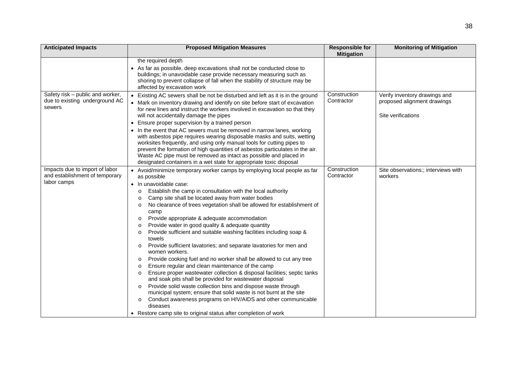| <b>Anticipated Impacts</b>                                                      | <b>Proposed Mitigation Measures</b>                                                                                                                                                                                                                                                                                                                                                                                                                                                                                                                                                                                                                                                                                                                                                                                                                                                                                                                                                                                                                                                                                                                                                                                                                                                     | <b>Responsible for</b><br><b>Mitigation</b> | <b>Monitoring of Mitigation</b>                                                    |
|---------------------------------------------------------------------------------|-----------------------------------------------------------------------------------------------------------------------------------------------------------------------------------------------------------------------------------------------------------------------------------------------------------------------------------------------------------------------------------------------------------------------------------------------------------------------------------------------------------------------------------------------------------------------------------------------------------------------------------------------------------------------------------------------------------------------------------------------------------------------------------------------------------------------------------------------------------------------------------------------------------------------------------------------------------------------------------------------------------------------------------------------------------------------------------------------------------------------------------------------------------------------------------------------------------------------------------------------------------------------------------------|---------------------------------------------|------------------------------------------------------------------------------------|
|                                                                                 | the required depth<br>• As far as possible, deep excavations shall not be conducted close to<br>buildings; in unavoidable case provide necessary measuring such as<br>shoring to prevent collapse of fall when the stability of structure may be<br>affected by excavation work                                                                                                                                                                                                                                                                                                                                                                                                                                                                                                                                                                                                                                                                                                                                                                                                                                                                                                                                                                                                         |                                             |                                                                                    |
| Safety risk - public and worker,<br>due to existing underground AC<br>sewers    | • Existing AC sewers shall be not be disturbed and left as it is in the ground<br>• Mark on inventory drawing and identify on site before start of excavation<br>for new lines and instruct the workers involved in excavation so that they<br>will not accidentally damage the pipes<br>• Ensure proper supervision by a trained person<br>• In the event that AC sewers must be removed in narrow lanes, working<br>with asbestos pipe requires wearing disposable masks and suits, wetting<br>worksites frequently, and using only manual tools for cutting pipes to<br>prevent the formation of high quantities of asbestos particulates in the air.<br>Waste AC pipe must be removed as intact as possible and placed in<br>designated containers in a wet state for appropriate toxic disposal                                                                                                                                                                                                                                                                                                                                                                                                                                                                                    | Construction<br>Contractor                  | Verify inventory drawings and<br>proposed alignment drawings<br>Site verifications |
| Impacts due to import of labor<br>and establishment of temporary<br>labor camps | • Avoid/minimize temporary worker camps by employing local people as far<br>as possible<br>• In unavoidable case:<br>Establish the camp in consultation with the local authority<br>$\circ$<br>Camp site shall be located away from water bodies<br>No clearance of trees vegetation shall be allowed for establishment of<br>$\circ$<br>camp<br>Provide appropriate & adequate accommodation<br>$\circ$<br>Provide water in good quality & adequate quantity<br>$\Omega$<br>Provide sufficient and suitable washing facilities including soap &<br>$\circ$<br>towels<br>Provide sufficient lavatories; and separate lavatories for men and<br>$\circ$<br>women workers.<br>Provide cooking fuel and no worker shall be allowed to cut any tree<br>$\circ$<br>Ensure regular and clean maintenance of the camp<br>$\circ$<br>Ensure proper wastewater collection & disposal facilities; septic tanks<br>$\circ$<br>and soak pits shall be provided for wastewater disposal<br>Provide solid waste collection bins and dispose waste through<br>$\circ$<br>municipal system; ensure that solid waste is not burnt at the site<br>Conduct awareness programs on HIV/AIDS and other communicable<br>$\circ$<br>diseases<br>• Restore camp site to original status after completion of work | Construction<br>Contractor                  | Site observations;; interviews with<br>workers                                     |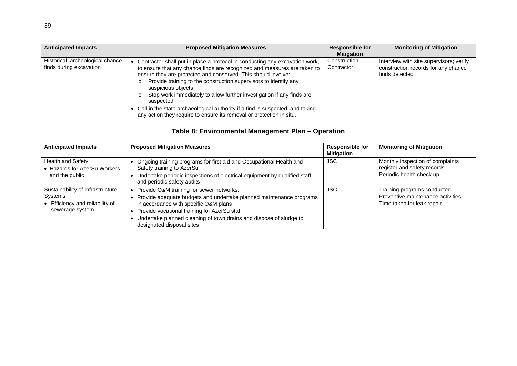| <b>Anticipated Impacts</b>                                  | <b>Proposed Mitigation Measures</b>                                                                                                                                                                                                                                                                                                                                                                                                                                                                                                                                             | <b>Responsible for</b><br><b>Mitigation</b> | <b>Monitoring of Mitigation</b>                                                                  |
|-------------------------------------------------------------|---------------------------------------------------------------------------------------------------------------------------------------------------------------------------------------------------------------------------------------------------------------------------------------------------------------------------------------------------------------------------------------------------------------------------------------------------------------------------------------------------------------------------------------------------------------------------------|---------------------------------------------|--------------------------------------------------------------------------------------------------|
| Historical, archeological chance<br>finds during excavation | Contractor shall put in place a protocol in conducting any excavation work,<br>to ensure that any chance finds are recognized and measures are taken to<br>ensure they are protected and conserved. This should involve:<br>Provide training to the construction supervisors to identify any<br>suspicious objects<br>Stop work immediately to allow further investigation if any finds are<br>$\circ$<br>suspected;<br>• Call in the state archaeological authority if a find is suspected, and taking<br>any action they require to ensure its removal or protection in situ. | Construction<br>Contractor                  | Interview with site supervisors; verify<br>construction records for any chance<br>finds detected |

# **Table 8: Environmental Management Plan – Operation**

| <b>Anticipated Impacts</b>                                                                      | <b>Proposed Mitigation Measures</b>                                                                                                                                                                                                                                                                         | <b>Responsible for</b><br><b>Mitigation</b> | <b>Monitoring of Mitigation</b>                                                                |
|-------------------------------------------------------------------------------------------------|-------------------------------------------------------------------------------------------------------------------------------------------------------------------------------------------------------------------------------------------------------------------------------------------------------------|---------------------------------------------|------------------------------------------------------------------------------------------------|
| <b>Health and Safety</b><br>• Hazards for AzerSu Workers<br>and the public                      | • Ongoing training programs for first aid and Occupational Health and<br>Safety training to AzerSu<br>Undertake periodic inspections of electrical equipment by qualified staff<br>and periodic safety audits                                                                                               | JSC.                                        | Monthly inspection of complaints<br>register and safety records<br>Periodic health check up    |
| Sustainability of Infrastructure<br>Systems<br>Efficiency and reliability of<br>sewerage system | Provide O&M training for sewer networks;<br>Provide adequate budgets and undertake planned maintenance programs<br>in accordance with specific O&M plans<br>Provide vocational training for AzerSu staff<br>Undertake planned cleaning of town drains and dispose of sludge to<br>designated disposal sites | <b>JSC</b>                                  | Training programs conducted<br>Preventive maintenance activities<br>Time taken for leak repair |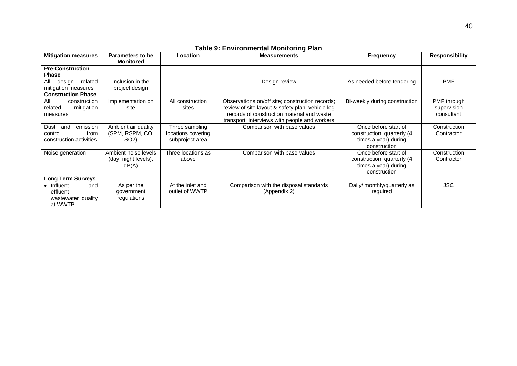| Table 9: Environmental Monitoring Plan                                |                                                             |                                                         |                                                                                                                                                                                                    |                                                                                             |                                          |  |
|-----------------------------------------------------------------------|-------------------------------------------------------------|---------------------------------------------------------|----------------------------------------------------------------------------------------------------------------------------------------------------------------------------------------------------|---------------------------------------------------------------------------------------------|------------------------------------------|--|
| <b>Mitigation measures</b>                                            | Parameters to be<br><b>Monitored</b>                        | <b>Location</b>                                         | <b>Measurements</b>                                                                                                                                                                                | <b>Frequency</b>                                                                            | <b>Responsibility</b>                    |  |
| <b>Pre-Construction</b><br><b>Phase</b>                               |                                                             |                                                         |                                                                                                                                                                                                    |                                                                                             |                                          |  |
| related<br>All<br>design<br>mitigation measures                       | Inclusion in the<br>project design                          |                                                         | Design review                                                                                                                                                                                      | As needed before tendering                                                                  | <b>PMF</b>                               |  |
| <b>Construction Phase</b>                                             |                                                             |                                                         |                                                                                                                                                                                                    |                                                                                             |                                          |  |
| All<br>construction<br>related<br>mitigation<br>measures              | Implementation on<br>site                                   | All construction<br>sites                               | Observations on/off site; construction records;<br>review of site layout & safety plan; vehicle log<br>records of construction material and waste<br>transport; interviews with people and workers | Bi-weekly during construction                                                               | PMF through<br>supervision<br>consultant |  |
| Dust<br>and<br>emission<br>control<br>from<br>construction activities | Ambient air quality<br>(SPM, RSPM, CO,<br>SO <sub>2</sub> ) | Three sampling<br>locations covering<br>subproject area | Comparison with base values                                                                                                                                                                        | Once before start of<br>construction; quarterly (4)<br>times a year) during<br>construction | Construction<br>Contractor               |  |
| Noise generation                                                      | Ambient noise levels<br>(day, night levels),<br>dB(A)       | Three locations as<br>above                             | Comparison with base values                                                                                                                                                                        | Once before start of<br>construction; quarterly (4)<br>times a year) during<br>construction | Construction<br>Contractor               |  |
| <b>Long Term Surveys</b>                                              |                                                             |                                                         |                                                                                                                                                                                                    |                                                                                             |                                          |  |

Comparison with the disposal standards (Appendix 2)

Daily/ monthly/quarterly as required

#### **Table 9: Environmental Monitoring Plan**

 $\bullet$  Influent

effluent

at WWTP

wastewater quality

and

As per the government regulations

At the inlet and outlet of WWTP JSC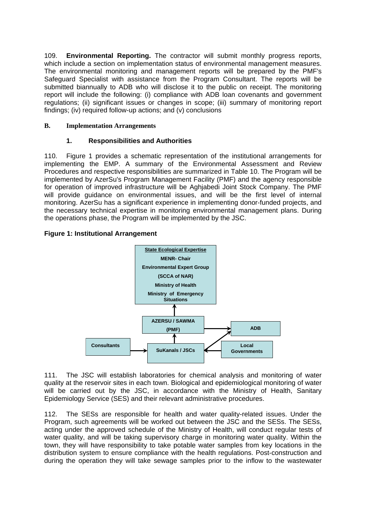109. **Environmental Reporting.** The contractor will submit monthly progress reports, which include a section on implementation status of environmental management measures. The environmental monitoring and management reports will be prepared by the PMF's Safeguard Specialist with assistance from the Program Consultant. The reports will be submitted biannually to ADB who will disclose it to the public on receipt. The monitoring report will include the following: (i) compliance with ADB loan covenants and government regulations; (ii) significant issues or changes in scope; (iii) summary of monitoring report findings; (iv) required follow-up actions; and (v) conclusions

## **B. Implementation Arrangements**

## **1. Responsibilities and Authorities**

110. Figure 1 provides a schematic representation of the institutional arrangements for implementing the EMP. A summary of the Environmental Assessment and Review Procedures and respective responsibilities are summarized in Table 10. The Program will be implemented by AzerSu's Program Management Facility (PMF) and the agency responsible for operation of improved infrastructure will be Aghjabedi Joint Stock Company. The PMF will provide guidance on environmental issues, and will be the first level of internal monitoring. AzerSu has a significant experience in implementing donor-funded projects, and the necessary technical expertise in monitoring environmental management plans. During the operations phase, the Program will be implemented by the JSC.

## **Figure 1: Institutional Arrangement**



111. The JSC will establish laboratories for chemical analysis and monitoring of water quality at the reservoir sites in each town. Biological and epidemiological monitoring of water will be carried out by the JSC, in accordance with the Ministry of Health, Sanitary Epidemiology Service (SES) and their relevant administrative procedures.

112. The SESs are responsible for health and water quality-related issues. Under the Program, such agreements will be worked out between the JSC and the SESs. The SESs, acting under the approved schedule of the Ministry of Health, will conduct regular tests of water quality, and will be taking supervisory charge in monitoring water quality. Within the town, they will have responsibility to take potable water samples from key locations in the distribution system to ensure compliance with the health regulations. Post-construction and during the operation they will take sewage samples prior to the inflow to the wastewater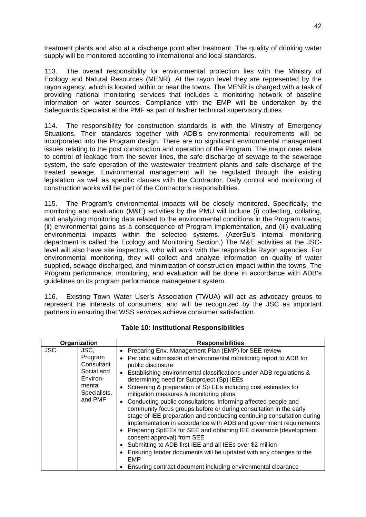treatment plants and also at a discharge point after treatment. The quality of drinking water supply will be monitored according to international and local standards.

113. The overall responsibility for environmental protection lies with the Ministry of Ecology and Natural Resources (MENR). At the rayon level they are represented by the rayon agency, which is located within or near the towns. The MENR is charged with a task of providing national monitoring services that includes a monitoring network of baseline information on water sources. Compliance with the EMP will be undertaken by the Safeguards Specialist at the PMF as part of his/her technical supervisory duties.

114. The responsibility for construction standards is with the Ministry of Emergency Situations. Their standards together with ADB's environmental requirements will be incorporated into the Program design. There are no significant environmental management issues relating to the post construction and operation of the Program. The major ones relate to control of leakage from the sewer lines, the safe discharge of sewage to the sewerage system, the safe operation of the wastewater treatment plants and safe discharge of the treated sewage. Environmental management will be regulated through the existing legislation as well as specific clauses with the Contractor. Daily control and monitoring of construction works will be part of the Contractor's responsibilities.

115. The Program's environmental impacts will be closely monitored. Specifically, the monitoring and evaluation (M&E) activities by the PMU will include (i) collecting, collating, and analyzing monitoring data related to the environmental conditions in the Program towns; (ii) environmental gains as a consequence of Program implementation, and (iii) evaluating environmental impacts within the selected systems. (AzerSu's internal monitoring department is called the Ecology and Monitoring Section.) The M&E activities at the JSClevel will also have site inspectors, who will work with the responsible Rayon agencies. For environmental monitoring, they will collect and analyze information on quality of water supplied, sewage discharged, and minimization of construction impact within the towns. The Program performance, monitoring, and evaluation will be done in accordance with ADB's guidelines on its program performance management system.

116. Existing Town Water User's Association (TWUA) will act as advocacy groups to represent the interests of consumers, and will be recognized by the JSC as important partners in ensuring that WSS services achieve consumer satisfaction.

|            | Organization                                                                                 | <b>Responsibilities</b>                                                                                                                                                                                                                                                                                                                                                                                                                                                                                                                                                                                                                                                                                                                                                                                                                                                                                                                                                                                    |
|------------|----------------------------------------------------------------------------------------------|------------------------------------------------------------------------------------------------------------------------------------------------------------------------------------------------------------------------------------------------------------------------------------------------------------------------------------------------------------------------------------------------------------------------------------------------------------------------------------------------------------------------------------------------------------------------------------------------------------------------------------------------------------------------------------------------------------------------------------------------------------------------------------------------------------------------------------------------------------------------------------------------------------------------------------------------------------------------------------------------------------|
| <b>JSC</b> | JSC,<br>Program<br>Consultant<br>Social and<br>Environ-<br>mental<br>Specialists,<br>and PMF | Preparing Env. Management Plan (EMP) for SEE review<br>• Periodic submission of environmental monitoring report to ADB for<br>public disclosure<br>Establishing environmental classifications under ADB regulations &<br>$\bullet$<br>determining need for Subproject (Sp) IEEs<br>Screening & preparation of Sp EEs including cost estimates for<br>mitigation measures & monitoring plans<br>Conducting public consultations: Informing affected people and<br>$\bullet$<br>community focus groups before or during consultation in the early<br>stage of IEE preparation and conducting continuing consultation during<br>implementation in accordance with ADB and government requirements<br>Preparing SpIEEs for SEE and obtaining IEE clearance (development<br>consent approval) from SEE<br>Submitting to ADB first IEE and all IEEs over \$2 million<br>Ensuring tender documents will be updated with any changes to the<br>EMP<br>Ensuring contract document including environmental clearance |

#### **Table 10: Institutional Responsibilities**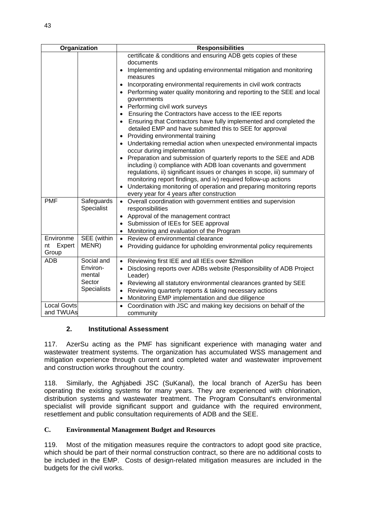| Organization                    |                                                                  | <b>Responsibilities</b>                                                                                                                                                                                                                                                                                                                                                                                                                                                                                                                                                                                                                                                                                                                                                                                                                                                                                                                                                                                                                                                                                    |
|---------------------------------|------------------------------------------------------------------|------------------------------------------------------------------------------------------------------------------------------------------------------------------------------------------------------------------------------------------------------------------------------------------------------------------------------------------------------------------------------------------------------------------------------------------------------------------------------------------------------------------------------------------------------------------------------------------------------------------------------------------------------------------------------------------------------------------------------------------------------------------------------------------------------------------------------------------------------------------------------------------------------------------------------------------------------------------------------------------------------------------------------------------------------------------------------------------------------------|
|                                 |                                                                  | certificate & conditions and ensuring ADB gets copies of these<br>documents<br>Implementing and updating environmental mitigation and monitoring<br>measures<br>Incorporating environmental requirements in civil work contracts<br>Performing water quality monitoring and reporting to the SEE and local<br>governments<br>Performing civil work surveys<br>Ensuring the Contractors have access to the IEE reports<br>Ensuring that Contractors have fully implemented and completed the<br>detailed EMP and have submitted this to SEE for approval<br>Providing environmental training<br>Undertaking remedial action when unexpected environmental impacts<br>occur during implementation<br>Preparation and submission of quarterly reports to the SEE and ADB<br>including i) compliance with ADB loan covenants and government<br>regulations, ii) significant issues or changes in scope, iii) summary of<br>monitoring report findings, and iv) required follow-up actions<br>Undertaking monitoring of operation and preparing monitoring reports<br>every year for 4 years after construction |
| <b>PMF</b>                      | Safeguards<br>Specialist                                         | Overall coordination with government entities and supervision<br>responsibilities<br>Approval of the management contract<br>Submission of IEEs for SEE approval<br>Monitoring and evaluation of the Program<br>$\bullet$                                                                                                                                                                                                                                                                                                                                                                                                                                                                                                                                                                                                                                                                                                                                                                                                                                                                                   |
| Environme<br>nt Expert<br>Group | SEE (within<br>MENR)                                             | Review of environmental clearance<br>$\bullet$<br>Providing guidance for upholding environmental policy requirements<br>$\bullet$                                                                                                                                                                                                                                                                                                                                                                                                                                                                                                                                                                                                                                                                                                                                                                                                                                                                                                                                                                          |
| <b>ADB</b>                      | Social and<br>Environ-<br>mental<br>Sector<br><b>Specialists</b> | Reviewing first IEE and all IEEs over \$2million<br>Disclosing reports over ADBs website (Responsibility of ADB Project<br>Leader)<br>Reviewing all statutory environmental clearances granted by SEE<br>$\bullet$<br>Reviewing quarterly reports & taking necessary actions<br>$\bullet$<br>Monitoring EMP implementation and due diligence<br>$\bullet$                                                                                                                                                                                                                                                                                                                                                                                                                                                                                                                                                                                                                                                                                                                                                  |
| <b>Local Govts</b><br>and TWUAs |                                                                  | Coordination with JSC and making key decisions on behalf of the<br>$\bullet$<br>community                                                                                                                                                                                                                                                                                                                                                                                                                                                                                                                                                                                                                                                                                                                                                                                                                                                                                                                                                                                                                  |

## **2. Institutional Assessment**

117. AzerSu acting as the PMF has significant experience with managing water and wastewater treatment systems. The organization has accumulated WSS management and mitigation experience through current and completed water and wastewater improvement and construction works throughout the country.

118. Similarly, the Aghjabedi JSC (SuKanal), the local branch of AzerSu has been operating the existing systems for many years. They are experienced with chlorination, distribution systems and wastewater treatment. The Program Consultant's environmental specialist will provide significant support and quidance with the required environment, resettlement and public consultation requirements of ADB and the SEE.

## **C. Environmental Management Budget and Resources**

119. Most of the mitigation measures require the contractors to adopt good site practice, which should be part of their normal construction contract, so there are no additional costs to be included in the EMP. Costs of design-related mitigation measures are included in the budgets for the civil works.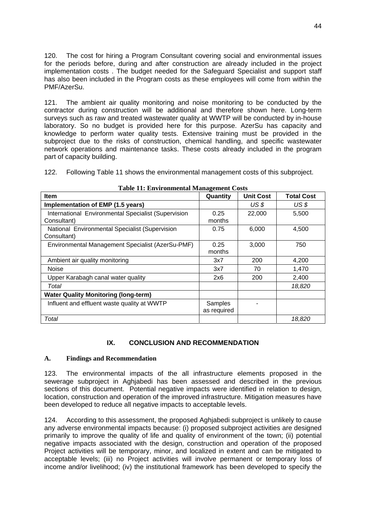120. The cost for hiring a Program Consultant covering social and environmental issues for the periods before, during and after construction are already included in the project implementation costs . The budget needed for the Safeguard Specialist and support staff has also been included in the Program costs as these employees will come from within the PMF/AzerSu.

121. The ambient air quality monitoring and noise monitoring to be conducted by the contractor during construction will be additional and therefore shown here. Long-term surveys such as raw and treated wastewater quality at WWTP will be conducted by in-house laboratory. So no budget is provided here for this purpose. AzerSu has capacity and knowledge to perform water quality tests. Extensive training must be provided in the subproject due to the risks of construction, chemical handling, and specific wastewater network operations and maintenance tasks. These costs already included in the program part of capacity building.

122. Following Table 11 shows the environmental management costs of this subproject.

| Item                                                               | Quantity               | <b>Unit Cost</b> | <b>Total Cost</b> |
|--------------------------------------------------------------------|------------------------|------------------|-------------------|
| Implementation of EMP (1.5 years)                                  |                        | US <sub>s</sub>  | US \$             |
| International Environmental Specialist (Supervision<br>Consultant) | 0.25<br>months         | 22,000           | 5,500             |
| National Environmental Specialist (Supervision<br>Consultant)      | 0.75                   | 6,000            | 4,500             |
| Environmental Management Specialist (AzerSu-PMF)                   | 0.25<br>months         | 3,000            | 750               |
| Ambient air quality monitoring                                     | 3x7                    | 200              | 4,200             |
| <b>Noise</b>                                                       | 3x7                    | 70               | 1,470             |
| Upper Karabagh canal water quality                                 | 2x6                    | 200              | 2,400             |
| Total                                                              |                        |                  | 18,820            |
| <b>Water Quality Monitoring (long-term)</b>                        |                        |                  |                   |
| Influent and effluent waste quality at WWTP                        | Samples<br>as required |                  |                   |
| Total                                                              |                        |                  | 18,820            |

**Table 11: Environmental Management Costs** 

#### **IX. CONCLUSION AND RECOMMENDATION**

#### **A. Findings and Recommendation**

123. The environmental impacts of the all infrastructure elements proposed in the sewerage subproject in Aghjabedi has been assessed and described in the previous sections of this document. Potential negative impacts were identified in relation to design, location, construction and operation of the improved infrastructure. Mitigation measures have been developed to reduce all negative impacts to acceptable levels.

124. According to this assessment, the proposed Aghjabedi subproject is unlikely to cause any adverse environmental impacts because: (i) proposed subproject activities are designed primarily to improve the quality of life and quality of environment of the town; (ii) potential negative impacts associated with the design, construction and operation of the proposed Project activities will be temporary, minor, and localized in extent and can be mitigated to acceptable levels; (iii) no Project activities will involve permanent or temporary loss of income and/or livelihood; (iv) the institutional framework has been developed to specify the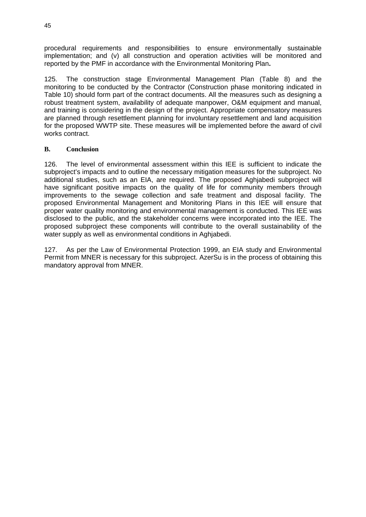procedural requirements and responsibilities to ensure environmentally sustainable implementation; and (v) all construction and operation activities will be monitored and reported by the PMF in accordance with the Environmental Monitoring Plan**.** 

125. The construction stage Environmental Management Plan (Table 8) and the monitoring to be conducted by the Contractor (Construction phase monitoring indicated in Table 10) should form part of the contract documents. All the measures such as designing a robust treatment system, availability of adequate manpower, O&M equipment and manual, and training is considering in the design of the project. Appropriate compensatory measures are planned through resettlement planning for involuntary resettlement and land acquisition for the proposed WWTP site. These measures will be implemented before the award of civil works contract.

#### **B. Conclusion**

126. The level of environmental assessment within this IEE is sufficient to indicate the subproject's impacts and to outline the necessary mitigation measures for the subproject. No additional studies, such as an EIA, are required. The proposed Aghjabedi subproject will have significant positive impacts on the quality of life for community members through improvements to the sewage collection and safe treatment and disposal facility. The proposed Environmental Management and Monitoring Plans in this IEE will ensure that proper water quality monitoring and environmental management is conducted. This IEE was disclosed to the public, and the stakeholder concerns were incorporated into the IEE. The proposed subproject these components will contribute to the overall sustainability of the water supply as well as environmental conditions in Aghiabedi.

127. As per the Law of Environmental Protection 1999, an EIA study and Environmental Permit from MNER is necessary for this subproject. AzerSu is in the process of obtaining this mandatory approval from MNER.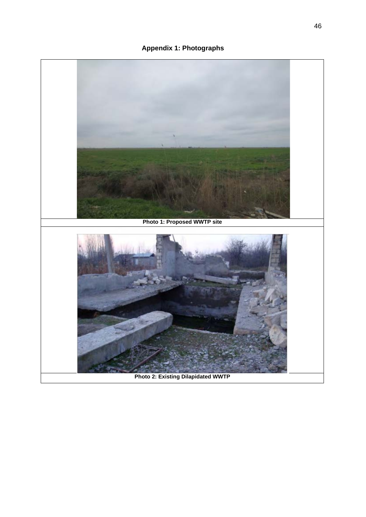**Appendix 1: Photographs** 

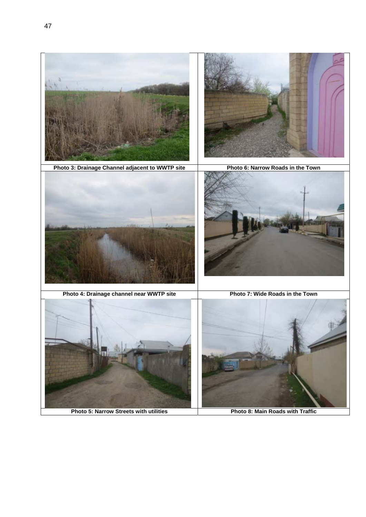

**Photo 5: Narrow Streets with utilities** Photo 8: Main Roads with Traffic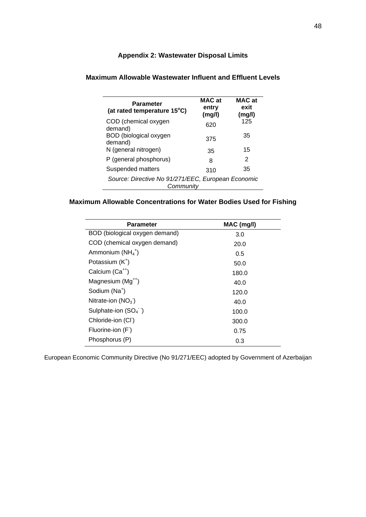## **Appendix 2: Wastewater Disposal Limits**

| <b>Parameter</b><br>(at rated temperature 15°C)                 | <b>MAC at</b><br>entry<br>(mg/l) | MAC at<br>exit<br>(mg/l) |  |
|-----------------------------------------------------------------|----------------------------------|--------------------------|--|
| COD (chemical oxygen<br>demand)                                 | 620                              | 125                      |  |
| BOD (biological oxygen<br>demand)                               | 375                              | 35                       |  |
| N (general nitrogen)                                            | 35                               | 15                       |  |
| P (general phosphorus)                                          | 8                                | 2                        |  |
| Suspended matters                                               | 310                              | 35                       |  |
| Source: Directive No 91/271/EEC, European Economic<br>Community |                                  |                          |  |

## **Maximum Allowable Wastewater Influent and Effluent Levels**

## **Maximum Allowable Concentrations for Water Bodies Used for Fishing**

| <b>Parameter</b>                   | MAC (mg/l) |
|------------------------------------|------------|
| BOD (biological oxygen demand)     | 3.0        |
| COD (chemical oxygen demand)       | 20.0       |
| Ammonium $(NH_4^+)$                | 0.5        |
| Potassium (K <sup>+</sup> )        | 50.0       |
| Calcium (Ca <sup>++</sup> )        | 180.0      |
| Magnesium (Mg <sup>++</sup> )      | 40.0       |
| Sodium (Na <sup>+</sup> )          | 120.0      |
| Nitrate-ion $(NO_3)$               | 40.0       |
| Sulphate-ion $(SO4$ <sup>-</sup> ) | 100.0      |
| Chloride-ion (CI)                  | 300.0      |
| Fluorine-ion (F)                   | 0.75       |
| Phosphorus (P)                     | 0.3        |

European Economic Community Directive (No 91/271/EEC) adopted by Government of Azerbaijan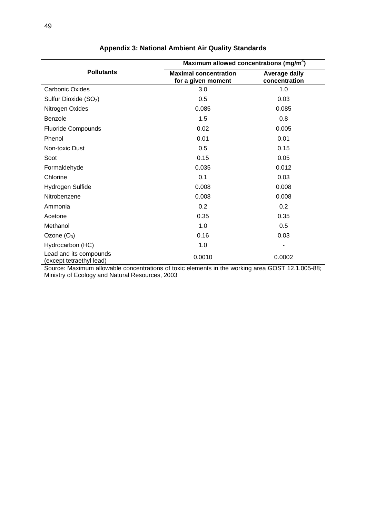|                                                    | Maximum allowed concentrations (mg/m <sup>3</sup> ) |                                       |  |  |
|----------------------------------------------------|-----------------------------------------------------|---------------------------------------|--|--|
| <b>Pollutants</b>                                  | <b>Maximal concentration</b><br>for a given moment  | <b>Average daily</b><br>concentration |  |  |
| <b>Carbonic Oxides</b>                             | 3.0                                                 | 1.0                                   |  |  |
| Sulfur Dioxide (SO <sub>2</sub> )                  | 0.5                                                 | 0.03                                  |  |  |
| Nitrogen Oxides                                    | 0.085                                               | 0.085                                 |  |  |
| Benzole                                            | 1.5                                                 | 0.8                                   |  |  |
| <b>Fluoride Compounds</b>                          | 0.02                                                | 0.005                                 |  |  |
| Phenol                                             | 0.01                                                | 0.01                                  |  |  |
| Non-toxic Dust                                     | 0.5                                                 | 0.15                                  |  |  |
| Soot                                               | 0.15                                                | 0.05                                  |  |  |
| Formaldehyde                                       | 0.035                                               | 0.012                                 |  |  |
| Chlorine                                           | 0.1                                                 | 0.03                                  |  |  |
| Hydrogen Sulfide                                   | 0.008                                               | 0.008                                 |  |  |
| Nitrobenzene                                       | 0.008                                               | 0.008                                 |  |  |
| Ammonia                                            | 0.2                                                 | 0.2                                   |  |  |
| Acetone                                            | 0.35                                                | 0.35                                  |  |  |
| Methanol                                           | 1.0                                                 | 0.5                                   |  |  |
| Ozone $(O_3)$                                      | 0.16                                                | 0.03                                  |  |  |
| Hydrocarbon (HC)                                   | 1.0                                                 |                                       |  |  |
| Lead and its compounds<br>(except tetraethyl lead) | 0.0010                                              | 0.0002                                |  |  |

## **Appendix 3: National Ambient Air Quality Standards**

Source: Maximum allowable concentrations of toxic elements in the working area GOST 12.1.005-88; Ministry of Ecology and Natural Resources, 2003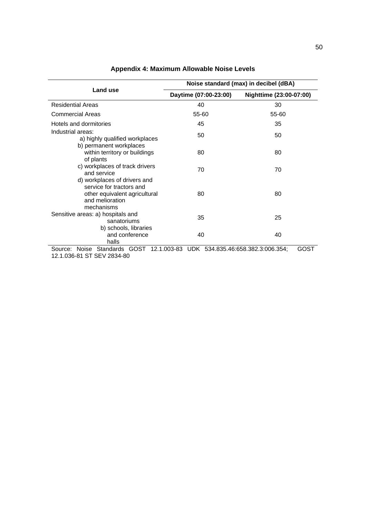|                                                                                                                            |                                   | Noise standard (max) in decibel (dBA) |  |  |  |  |
|----------------------------------------------------------------------------------------------------------------------------|-----------------------------------|---------------------------------------|--|--|--|--|
| Land use                                                                                                                   | Daytime (07:00-23:00)             | Nighttime (23:00-07:00)               |  |  |  |  |
| <b>Residential Areas</b>                                                                                                   | 40                                | 30                                    |  |  |  |  |
| Commercial Areas                                                                                                           | 55-60                             | 55-60                                 |  |  |  |  |
| Hotels and dormitories                                                                                                     | 45                                | 35                                    |  |  |  |  |
| Industrial areas:<br>a) highly qualified workplaces                                                                        | 50                                | 50                                    |  |  |  |  |
| b) permanent workplaces<br>within territory or buildings<br>of plants                                                      | 80                                | 80                                    |  |  |  |  |
| c) workplaces of track drivers<br>and service                                                                              | 70                                | 70                                    |  |  |  |  |
| d) workplaces of drivers and<br>service for tractors and<br>other equivalent agricultural<br>and melioration<br>mechanisms | 80                                | 80                                    |  |  |  |  |
| Sensitive areas: a) hospitals and<br>sanatoriums                                                                           | 35                                | 25                                    |  |  |  |  |
| b) schools, libraries<br>and conference<br>halls                                                                           | 40                                | 40                                    |  |  |  |  |
| Noise Standards GOST 12.1.003-83<br>Source:                                                                                | UDK 534.835.46:658.382.3:006.354; | GOS <sub>T</sub>                      |  |  |  |  |

12.1.036-81 ST SEV 2834-80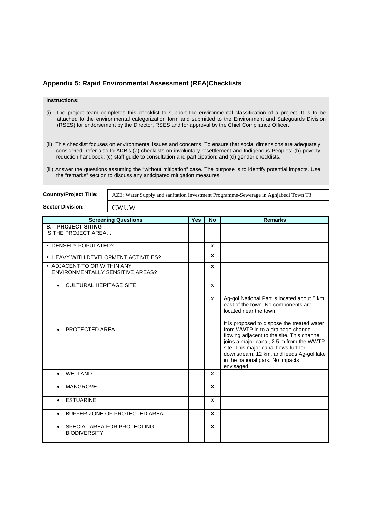#### **Appendix 5: Rapid Environmental Assessment (REA)Checklists**

**CWUW** 

#### **Instructions:**

- (i) The project team completes this checklist to support the environmental classification of a project. It is to be attached to the environmental categorization form and submitted to the Environment and Safeguards Division (RSES) for endorsement by the Director, RSES and for approval by the Chief Compliance Officer.
- (ii) This checklist focuses on environmental issues and concerns. To ensure that social dimensions are adequately considered, refer also to ADB's (a) checklists on involuntary resettlement and Indigenous Peoples; (b) poverty reduction handbook; (c) staff guide to consultation and participation; and (d) gender checklists.
- (iii) Answer the questions assuming the "without mitigation" case. The purpose is to identify potential impacts. Use the "remarks" section to discuss any anticipated mitigation measures.

AZE: Water Supply and sanitation Investment Programme-Sewerage in Aghjabedi Town T3

**Sector Division:** 

**Country/Project Title:** 

| <b>Screening Questions</b>                 | <b>Yes</b> | <b>No</b> | <b>Remarks</b>                                                               |
|--------------------------------------------|------------|-----------|------------------------------------------------------------------------------|
| <b>B. PROJECT SITING</b>                   |            |           |                                                                              |
| IS THE PROJECT AREA                        |            |           |                                                                              |
|                                            |            |           |                                                                              |
| · DENSELY POPULATED?                       |            | x         |                                                                              |
|                                            |            | x         |                                                                              |
| • HEAVY WITH DEVELOPMENT ACTIVITIES?       |            |           |                                                                              |
| • ADJACENT TO OR WITHIN ANY                |            | x         |                                                                              |
| ENVIRONMENTALLY SENSITIVE AREAS?           |            |           |                                                                              |
|                                            |            |           |                                                                              |
| <b>CULTURAL HERITAGE SITE</b><br>$\bullet$ |            | X         |                                                                              |
|                                            |            |           |                                                                              |
|                                            |            | x         | Ag-gol National Part is located about 5 km                                   |
|                                            |            |           | east of the town. No components are                                          |
|                                            |            |           | located near the town.                                                       |
|                                            |            |           |                                                                              |
|                                            |            |           | It is proposed to dispose the treated water                                  |
| PROTECTED AREA                             |            |           | from WWTP in to a drainage channel                                           |
|                                            |            |           | flowing adjacent to the site. This channel                                   |
|                                            |            |           | joins a major canal, 2.5 m from the WWTP                                     |
|                                            |            |           | site. This major canal flows further                                         |
|                                            |            |           | downstream, 12 km, and feeds Ag-gol lake<br>in the national park. No impacts |
|                                            |            |           |                                                                              |
|                                            |            |           | envisaged.                                                                   |
| <b>WETLAND</b>                             |            | x         |                                                                              |
|                                            |            |           |                                                                              |
| <b>MANGROVE</b>                            |            | x         |                                                                              |
|                                            |            |           |                                                                              |
| <b>ESTUARINE</b>                           |            | x         |                                                                              |
|                                            |            |           |                                                                              |
| BUFFER ZONE OF PROTECTED AREA              |            | x         |                                                                              |
|                                            |            |           |                                                                              |
| SPECIAL AREA FOR PROTECTING<br>$\bullet$   |            | X         |                                                                              |
| <b>BIODIVERSITY</b>                        |            |           |                                                                              |
|                                            |            |           |                                                                              |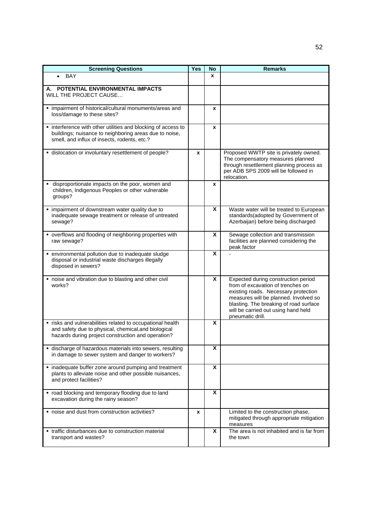| <b>Screening Questions</b>                                                                                                                                               | <b>Yes</b> | <b>No</b> | <b>Remarks</b>                                                                                                                                                                                                                                                 |
|--------------------------------------------------------------------------------------------------------------------------------------------------------------------------|------------|-----------|----------------------------------------------------------------------------------------------------------------------------------------------------------------------------------------------------------------------------------------------------------------|
| BAY                                                                                                                                                                      |            | X         |                                                                                                                                                                                                                                                                |
| POTENTIAL ENVIRONMENTAL IMPACTS<br>А.<br>WILL THE PROJECT CAUSE                                                                                                          |            |           |                                                                                                                                                                                                                                                                |
| · impairment of historical/cultural monuments/areas and<br>loss/damage to these sites?                                                                                   |            | x         |                                                                                                                                                                                                                                                                |
| • interference with other utilities and blocking of access to<br>buildings; nuisance to neighboring areas due to noise,<br>smell, and influx of insects, rodents, etc.?  |            | X         |                                                                                                                                                                                                                                                                |
| · dislocation or involuntary resettlement of people?                                                                                                                     | X          |           | Proposed WWTP site is privately owned.<br>The compensatory measures planned<br>through resettlement planning process as<br>per ADB SPS 2009 will be followed in<br>relocation.                                                                                 |
| disproportionate impacts on the poor, women and<br>children, Indigenous Peoples or other vulnerable<br>groups?                                                           |            | x         |                                                                                                                                                                                                                                                                |
| impairment of downstream water quality due to<br>$\blacksquare$<br>inadequate sewage treatment or release of untreated<br>sewage?                                        |            | X         | Waste water will be treated to European<br>standards(adopted by Government of<br>Azerbaijan) before being discharged                                                                                                                                           |
| • overflows and flooding of neighboring properties with<br>raw sewage?                                                                                                   |            | X         | Sewage collection and transmission<br>facilities are planned considering the<br>peak factor                                                                                                                                                                    |
| environmental pollution due to inadequate sludge<br>$\blacksquare$<br>disposal or industrial waste discharges illegally<br>disposed in sewers?                           |            | X         |                                                                                                                                                                                                                                                                |
| " noise and vibration due to blasting and other civil<br>works?                                                                                                          |            | X         | Expected during construction period<br>from of excavation of trenches on<br>existing roads. Necessary protection<br>measures will be planned. Involved so<br>blasting. The breaking of road surface<br>will be carried out using hand held<br>pneumatic drill. |
| " risks and vulnerabilities related to occupational health<br>and safety due to physical, chemical, and biological<br>hazards during project construction and operation? |            | X         |                                                                                                                                                                                                                                                                |
| · discharge of hazardous materials into sewers, resulting<br>in damage to sewer system and danger to workers?                                                            |            | X         |                                                                                                                                                                                                                                                                |
| · inadequate buffer zone around pumping and treatment<br>plants to alleviate noise and other possible nuisances,<br>and protect facilities?                              |            | X         |                                                                                                                                                                                                                                                                |
| " road blocking and temporary flooding due to land<br>excavation during the rainy season?                                                                                |            | X         |                                                                                                                                                                                                                                                                |
| ■ noise and dust from construction activities?                                                                                                                           | x          |           | Limited to the construction phase,<br>mitigated through appropriate mitigation<br>measures                                                                                                                                                                     |
| • traffic disturbances due to construction material<br>transport and wastes?                                                                                             |            | X         | The area is not inhabited and is far from<br>the town                                                                                                                                                                                                          |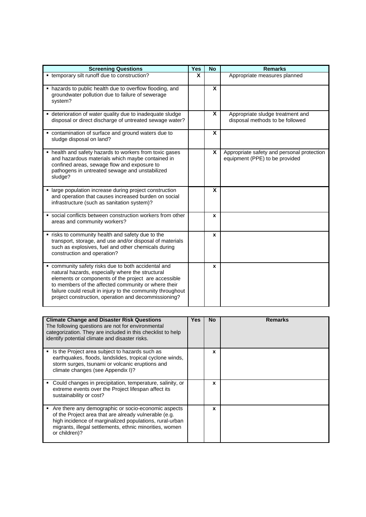| <b>Screening Questions</b>                                                                                                                                                                                                                                                                                                                   | Yes | <b>No</b> | <b>Remarks</b>                                                               |
|----------------------------------------------------------------------------------------------------------------------------------------------------------------------------------------------------------------------------------------------------------------------------------------------------------------------------------------------|-----|-----------|------------------------------------------------------------------------------|
| • temporary silt runoff due to construction?                                                                                                                                                                                                                                                                                                 | X   |           | Appropriate measures planned                                                 |
| • hazards to public health due to overflow flooding, and<br>groundwater pollution due to failure of sewerage<br>system?                                                                                                                                                                                                                      |     | X         |                                                                              |
| • deterioration of water quality due to inadequate sludge<br>disposal or direct discharge of untreated sewage water?                                                                                                                                                                                                                         |     | X         | Appropriate sludge treatment and<br>disposal methods to be followed          |
| • contamination of surface and ground waters due to<br>sludge disposal on land?                                                                                                                                                                                                                                                              |     | X         |                                                                              |
| • health and safety hazards to workers from toxic gases<br>and hazardous materials which maybe contained in<br>confined areas, sewage flow and exposure to<br>pathogens in untreated sewage and unstabilized<br>sludge?                                                                                                                      |     | X         | Appropriate safety and personal protection<br>equipment (PPE) to be provided |
| • large population increase during project construction<br>and operation that causes increased burden on social<br>infrastructure (such as sanitation system)?                                                                                                                                                                               |     | X         |                                                                              |
| · social conflicts between construction workers from other<br>areas and community workers?                                                                                                                                                                                                                                                   |     | X         |                                                                              |
| " risks to community health and safety due to the<br>transport, storage, and use and/or disposal of materials<br>such as explosives, fuel and other chemicals during<br>construction and operation?                                                                                                                                          |     | x         |                                                                              |
| " community safety risks due to both accidental and<br>natural hazards, especially where the structural<br>elements or components of the project are accessible<br>to members of the affected community or where their<br>failure could result in injury to the community throughout<br>project construction, operation and decommissioning? |     | x         |                                                                              |

| <b>Climate Change and Disaster Risk Questions</b><br>The following questions are not for environmental<br>categorization. They are included in this checklist to help<br>identify potential climate and disaster risks.                             | <b>Yes</b> | <b>No</b> | <b>Remarks</b> |
|-----------------------------------------------------------------------------------------------------------------------------------------------------------------------------------------------------------------------------------------------------|------------|-----------|----------------|
| Is the Project area subject to hazards such as<br>earthquakes, floods, landslides, tropical cyclone winds,<br>storm surges, tsunami or volcanic eruptions and<br>climate changes (see Appendix I)?                                                  |            | X         |                |
| Could changes in precipitation, temperature, salinity, or<br>extreme events over the Project lifespan affect its<br>sustainability or cost?                                                                                                         |            | x         |                |
| Are there any demographic or socio-economic aspects<br>of the Project area that are already vulnerable (e.g.<br>high incidence of marginalized populations, rural-urban<br>migrants, illegal settlements, ethnic minorities, women<br>or children)? |            | x         |                |